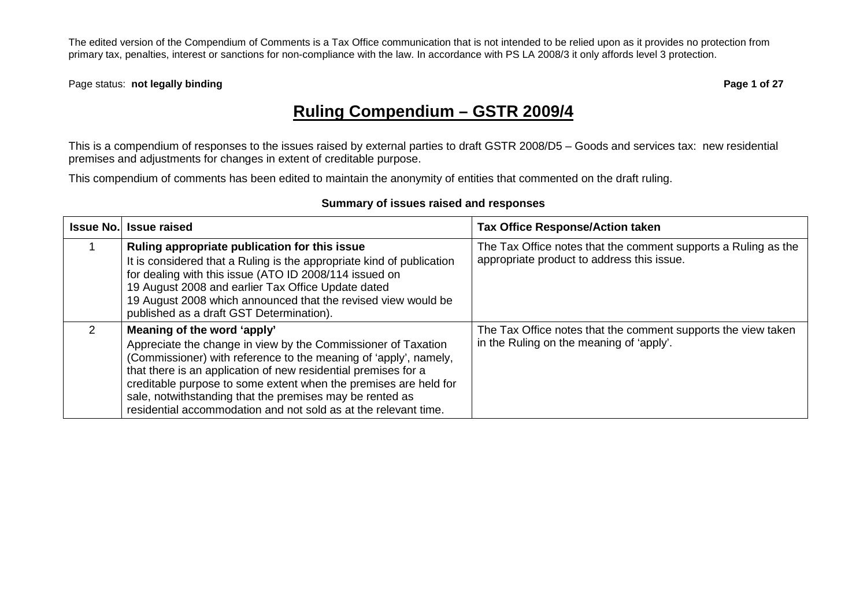Page status: **not legally binding and the status: not legally binding page 1 of 27** 

# **Ruling Compendium – GSTR 2009/4**

This is a compendium of responses to the issues raised by external parties to draft GSTR 2008/D5 – Goods and services tax: new residential premises and adjustments for changes in extent of creditable purpose.

This compendium of comments has been edited to maintain the anonymity of entities that commented on the draft ruling.

#### **Summary of issues raised and responses**

| <b>Issue No.</b> | <b>Issue raised</b>                                                                                                                                                                                                                                                                                                                                                                                                                   | <b>Tax Office Response/Action taken</b>                                                                      |
|------------------|---------------------------------------------------------------------------------------------------------------------------------------------------------------------------------------------------------------------------------------------------------------------------------------------------------------------------------------------------------------------------------------------------------------------------------------|--------------------------------------------------------------------------------------------------------------|
|                  | Ruling appropriate publication for this issue<br>It is considered that a Ruling is the appropriate kind of publication<br>for dealing with this issue (ATO ID 2008/114 issued on<br>19 August 2008 and earlier Tax Office Update dated<br>19 August 2008 which announced that the revised view would be<br>published as a draft GST Determination).                                                                                   | The Tax Office notes that the comment supports a Ruling as the<br>appropriate product to address this issue. |
| 2                | Meaning of the word 'apply'<br>Appreciate the change in view by the Commissioner of Taxation<br>(Commissioner) with reference to the meaning of 'apply', namely,<br>that there is an application of new residential premises for a<br>creditable purpose to some extent when the premises are held for<br>sale, notwithstanding that the premises may be rented as<br>residential accommodation and not sold as at the relevant time. | The Tax Office notes that the comment supports the view taken<br>in the Ruling on the meaning of 'apply'.    |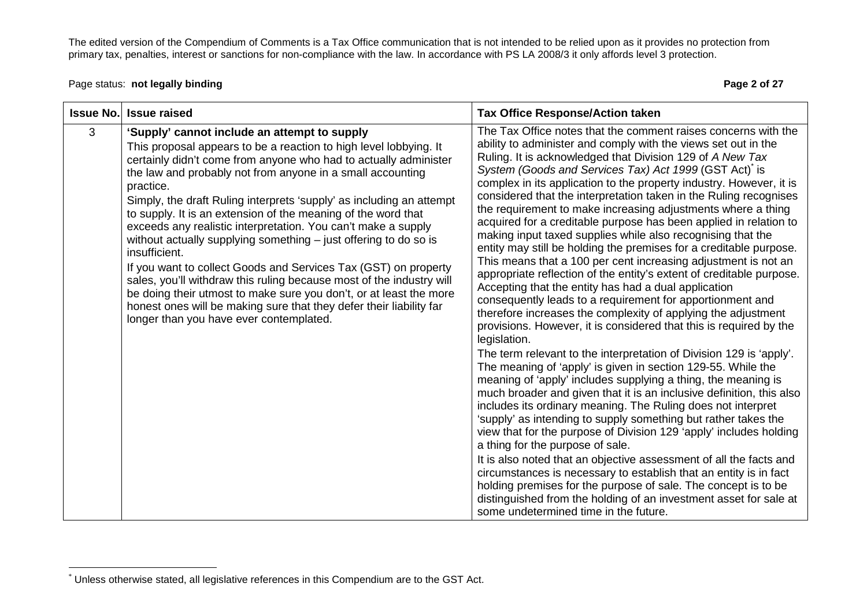Page status: **not legally binding Page 2 of 27 Page 2 of 27** 

|   | <b>Issue No. Issue raised</b>                                                                                                                                                                                                                                                                                                                                                                                                                                                                                                                                                                                                                                                                                                                                                                                                                                                                      | <b>Tax Office Response/Action taken</b>                                                                                                                                                                                                                                                                                                                                                                                                                                                                                                                                                                                                                                                                                                                                                                                                                                                                                                                                                                                                                                                                                                                                                                                                                                                                                                                                                                                                                                                                                                                                                                                                                                                                                                                                                                                                                                                                                                                   |
|---|----------------------------------------------------------------------------------------------------------------------------------------------------------------------------------------------------------------------------------------------------------------------------------------------------------------------------------------------------------------------------------------------------------------------------------------------------------------------------------------------------------------------------------------------------------------------------------------------------------------------------------------------------------------------------------------------------------------------------------------------------------------------------------------------------------------------------------------------------------------------------------------------------|-----------------------------------------------------------------------------------------------------------------------------------------------------------------------------------------------------------------------------------------------------------------------------------------------------------------------------------------------------------------------------------------------------------------------------------------------------------------------------------------------------------------------------------------------------------------------------------------------------------------------------------------------------------------------------------------------------------------------------------------------------------------------------------------------------------------------------------------------------------------------------------------------------------------------------------------------------------------------------------------------------------------------------------------------------------------------------------------------------------------------------------------------------------------------------------------------------------------------------------------------------------------------------------------------------------------------------------------------------------------------------------------------------------------------------------------------------------------------------------------------------------------------------------------------------------------------------------------------------------------------------------------------------------------------------------------------------------------------------------------------------------------------------------------------------------------------------------------------------------------------------------------------------------------------------------------------------------|
| 3 | 'Supply' cannot include an attempt to supply<br>This proposal appears to be a reaction to high level lobbying. It<br>certainly didn't come from anyone who had to actually administer<br>the law and probably not from anyone in a small accounting<br>practice.<br>Simply, the draft Ruling interprets 'supply' as including an attempt<br>to supply. It is an extension of the meaning of the word that<br>exceeds any realistic interpretation. You can't make a supply<br>without actually supplying something – just offering to do so is<br>insufficient.<br>If you want to collect Goods and Services Tax (GST) on property<br>sales, you'll withdraw this ruling because most of the industry will<br>be doing their utmost to make sure you don't, or at least the more<br>honest ones will be making sure that they defer their liability far<br>longer than you have ever contemplated. | The Tax Office notes that the comment raises concerns with the<br>ability to administer and comply with the views set out in the<br>Ruling. It is acknowledged that Division 129 of A New Tax<br>System (Goods and Services Tax) Act 1999 (GST Act) is<br>complex in its application to the property industry. However, it is<br>considered that the interpretation taken in the Ruling recognises<br>the requirement to make increasing adjustments where a thing<br>acquired for a creditable purpose has been applied in relation to<br>making input taxed supplies while also recognising that the<br>entity may still be holding the premises for a creditable purpose.<br>This means that a 100 per cent increasing adjustment is not an<br>appropriate reflection of the entity's extent of creditable purpose.<br>Accepting that the entity has had a dual application<br>consequently leads to a requirement for apportionment and<br>therefore increases the complexity of applying the adjustment<br>provisions. However, it is considered that this is required by the<br>legislation.<br>The term relevant to the interpretation of Division 129 is 'apply'.<br>The meaning of 'apply' is given in section 129-55. While the<br>meaning of 'apply' includes supplying a thing, the meaning is<br>much broader and given that it is an inclusive definition, this also<br>includes its ordinary meaning. The Ruling does not interpret<br>'supply' as intending to supply something but rather takes the<br>view that for the purpose of Division 129 'apply' includes holding<br>a thing for the purpose of sale.<br>It is also noted that an objective assessment of all the facts and<br>circumstances is necessary to establish that an entity is in fact<br>holding premises for the purpose of sale. The concept is to be<br>distinguished from the holding of an investment asset for sale at<br>some undetermined time in the future. |

<sup>\*</sup> Unless otherwise stated, all legislative references in this Compendium are to the GST Act.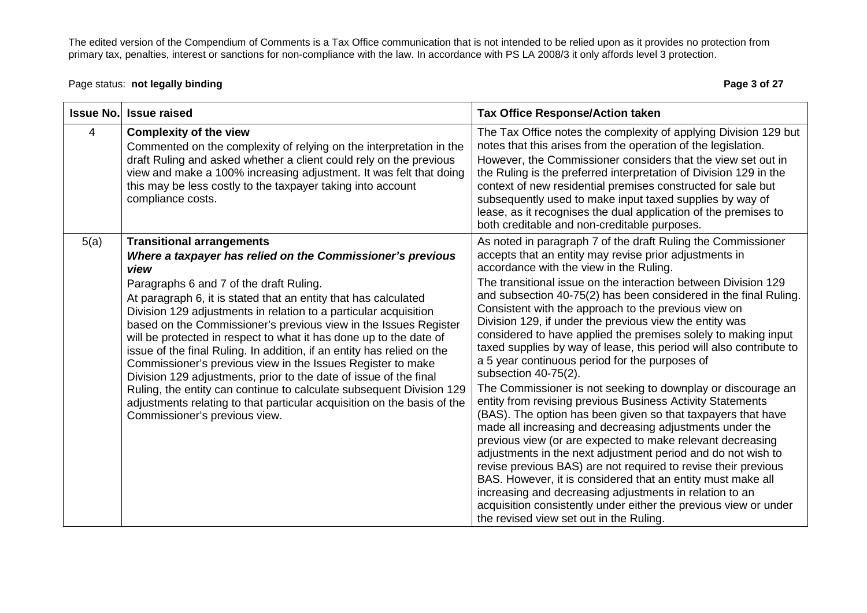Page status: **not legally binding Page 3 of 27 Page 3 of 27** 

| <b>Issue No.</b> | <b>Issue raised</b>                                                                                                                                                                                                                                                                                                                                                                                                                                                                                                                                                                                                                                                                                                                                                                                                                  | <b>Tax Office Response/Action taken</b>                                                                                                                                                                                                                                                                                                                                                                                                                                                                                                                                                                                                                                                                                                                                                                                                                                                                                                                                                                                                                                                                                                                                                                                                                                                                                                          |
|------------------|--------------------------------------------------------------------------------------------------------------------------------------------------------------------------------------------------------------------------------------------------------------------------------------------------------------------------------------------------------------------------------------------------------------------------------------------------------------------------------------------------------------------------------------------------------------------------------------------------------------------------------------------------------------------------------------------------------------------------------------------------------------------------------------------------------------------------------------|--------------------------------------------------------------------------------------------------------------------------------------------------------------------------------------------------------------------------------------------------------------------------------------------------------------------------------------------------------------------------------------------------------------------------------------------------------------------------------------------------------------------------------------------------------------------------------------------------------------------------------------------------------------------------------------------------------------------------------------------------------------------------------------------------------------------------------------------------------------------------------------------------------------------------------------------------------------------------------------------------------------------------------------------------------------------------------------------------------------------------------------------------------------------------------------------------------------------------------------------------------------------------------------------------------------------------------------------------|
| 4                | <b>Complexity of the view</b><br>Commented on the complexity of relying on the interpretation in the<br>draft Ruling and asked whether a client could rely on the previous<br>view and make a 100% increasing adjustment. It was felt that doing<br>this may be less costly to the taxpayer taking into account<br>compliance costs.                                                                                                                                                                                                                                                                                                                                                                                                                                                                                                 | The Tax Office notes the complexity of applying Division 129 but<br>notes that this arises from the operation of the legislation.<br>However, the Commissioner considers that the view set out in<br>the Ruling is the preferred interpretation of Division 129 in the<br>context of new residential premises constructed for sale but<br>subsequently used to make input taxed supplies by way of<br>lease, as it recognises the dual application of the premises to<br>both creditable and non-creditable purposes.                                                                                                                                                                                                                                                                                                                                                                                                                                                                                                                                                                                                                                                                                                                                                                                                                            |
| 5(a)             | <b>Transitional arrangements</b><br>Where a taxpayer has relied on the Commissioner's previous<br>view<br>Paragraphs 6 and 7 of the draft Ruling.<br>At paragraph 6, it is stated that an entity that has calculated<br>Division 129 adjustments in relation to a particular acquisition<br>based on the Commissioner's previous view in the Issues Register<br>will be protected in respect to what it has done up to the date of<br>issue of the final Ruling. In addition, if an entity has relied on the<br>Commissioner's previous view in the Issues Register to make<br>Division 129 adjustments, prior to the date of issue of the final<br>Ruling, the entity can continue to calculate subsequent Division 129<br>adjustments relating to that particular acquisition on the basis of the<br>Commissioner's previous view. | As noted in paragraph 7 of the draft Ruling the Commissioner<br>accepts that an entity may revise prior adjustments in<br>accordance with the view in the Ruling.<br>The transitional issue on the interaction between Division 129<br>and subsection 40-75(2) has been considered in the final Ruling.<br>Consistent with the approach to the previous view on<br>Division 129, if under the previous view the entity was<br>considered to have applied the premises solely to making input<br>taxed supplies by way of lease, this period will also contribute to<br>a 5 year continuous period for the purposes of<br>subsection 40-75(2).<br>The Commissioner is not seeking to downplay or discourage an<br>entity from revising previous Business Activity Statements<br>(BAS). The option has been given so that taxpayers that have<br>made all increasing and decreasing adjustments under the<br>previous view (or are expected to make relevant decreasing<br>adjustments in the next adjustment period and do not wish to<br>revise previous BAS) are not required to revise their previous<br>BAS. However, it is considered that an entity must make all<br>increasing and decreasing adjustments in relation to an<br>acquisition consistently under either the previous view or under<br>the revised view set out in the Ruling. |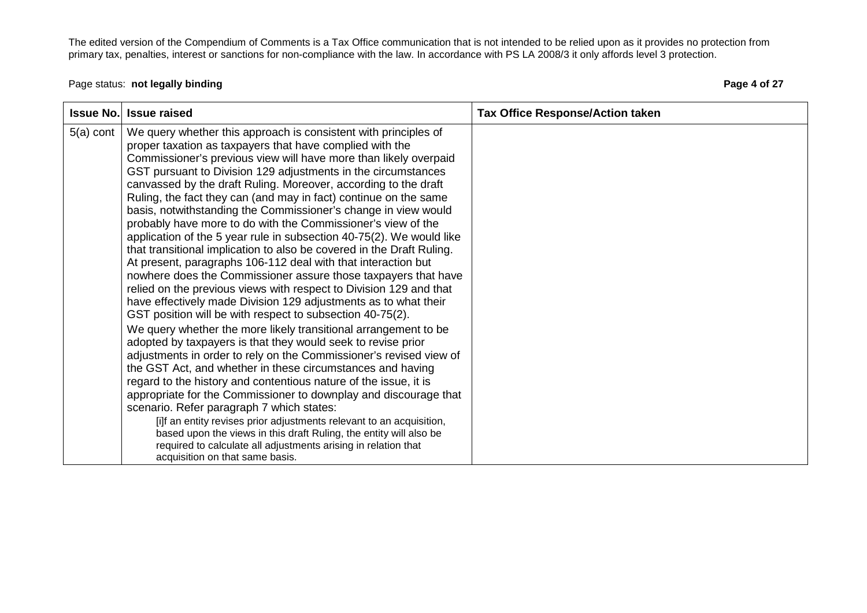# Page status: **not legally binding Page 4 of 27 Page 4 of 27**

| <b>Issue No.</b> | <b>Issue raised</b>                                                                                                                                                                                                                                                                                                                                                                                                                                                                                                                                                                                                                                                                                                                                                                                                                                                                                                                                                                                                                                                                                                                                                                                                                                                                                                                                                                                                                                                                                                                                                                                                                                                                                                                                | <b>Tax Office Response/Action taken</b> |
|------------------|----------------------------------------------------------------------------------------------------------------------------------------------------------------------------------------------------------------------------------------------------------------------------------------------------------------------------------------------------------------------------------------------------------------------------------------------------------------------------------------------------------------------------------------------------------------------------------------------------------------------------------------------------------------------------------------------------------------------------------------------------------------------------------------------------------------------------------------------------------------------------------------------------------------------------------------------------------------------------------------------------------------------------------------------------------------------------------------------------------------------------------------------------------------------------------------------------------------------------------------------------------------------------------------------------------------------------------------------------------------------------------------------------------------------------------------------------------------------------------------------------------------------------------------------------------------------------------------------------------------------------------------------------------------------------------------------------------------------------------------------------|-----------------------------------------|
| $5(a)$ cont      | We query whether this approach is consistent with principles of<br>proper taxation as taxpayers that have complied with the<br>Commissioner's previous view will have more than likely overpaid<br>GST pursuant to Division 129 adjustments in the circumstances<br>canvassed by the draft Ruling. Moreover, according to the draft<br>Ruling, the fact they can (and may in fact) continue on the same<br>basis, notwithstanding the Commissioner's change in view would<br>probably have more to do with the Commissioner's view of the<br>application of the 5 year rule in subsection 40-75(2). We would like<br>that transitional implication to also be covered in the Draft Ruling.<br>At present, paragraphs 106-112 deal with that interaction but<br>nowhere does the Commissioner assure those taxpayers that have<br>relied on the previous views with respect to Division 129 and that<br>have effectively made Division 129 adjustments as to what their<br>GST position will be with respect to subsection 40-75(2).<br>We query whether the more likely transitional arrangement to be<br>adopted by taxpayers is that they would seek to revise prior<br>adjustments in order to rely on the Commissioner's revised view of<br>the GST Act, and whether in these circumstances and having<br>regard to the history and contentious nature of the issue, it is<br>appropriate for the Commissioner to downplay and discourage that<br>scenario. Refer paragraph 7 which states:<br>[i]f an entity revises prior adjustments relevant to an acquisition,<br>based upon the views in this draft Ruling, the entity will also be<br>required to calculate all adjustments arising in relation that<br>acquisition on that same basis. |                                         |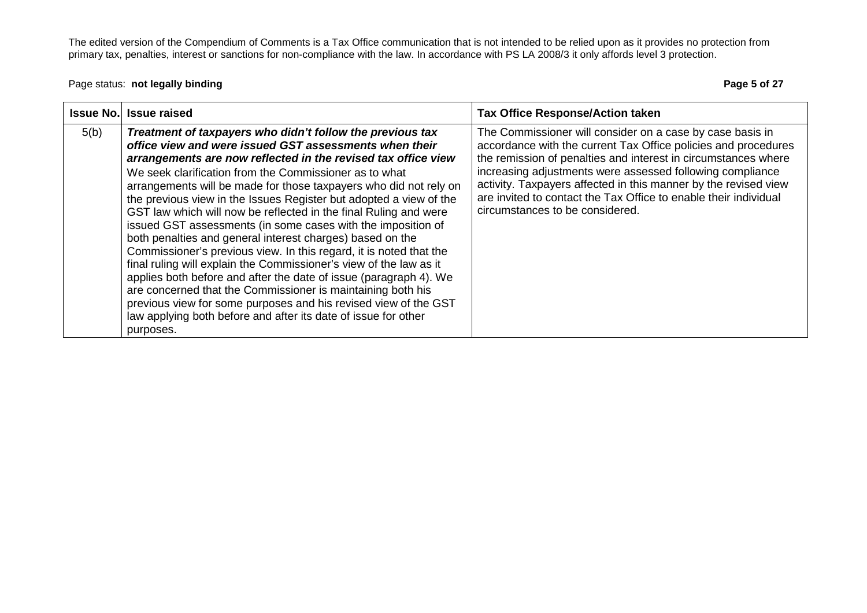Page status: **not legally binding Page 5 of 27 Page 5 of 27** 

| <b>Issue No.</b> | <b>Issue raised</b>                                                                                                                                                                                                                                                                                                                                                                                                                                                                                                                                                                                                                                                                                                                                                                                                                                                                                                                                                                                                          | <b>Tax Office Response/Action taken</b>                                                                                                                                                                                                                                                                                                                                                                                              |
|------------------|------------------------------------------------------------------------------------------------------------------------------------------------------------------------------------------------------------------------------------------------------------------------------------------------------------------------------------------------------------------------------------------------------------------------------------------------------------------------------------------------------------------------------------------------------------------------------------------------------------------------------------------------------------------------------------------------------------------------------------------------------------------------------------------------------------------------------------------------------------------------------------------------------------------------------------------------------------------------------------------------------------------------------|--------------------------------------------------------------------------------------------------------------------------------------------------------------------------------------------------------------------------------------------------------------------------------------------------------------------------------------------------------------------------------------------------------------------------------------|
| 5(b)             | Treatment of taxpayers who didn't follow the previous tax<br>office view and were issued GST assessments when their<br>arrangements are now reflected in the revised tax office view<br>We seek clarification from the Commissioner as to what<br>arrangements will be made for those taxpayers who did not rely on<br>the previous view in the Issues Register but adopted a view of the<br>GST law which will now be reflected in the final Ruling and were<br>issued GST assessments (in some cases with the imposition of<br>both penalties and general interest charges) based on the<br>Commissioner's previous view. In this regard, it is noted that the<br>final ruling will explain the Commissioner's view of the law as it<br>applies both before and after the date of issue (paragraph 4). We<br>are concerned that the Commissioner is maintaining both his<br>previous view for some purposes and his revised view of the GST<br>law applying both before and after its date of issue for other<br>purposes. | The Commissioner will consider on a case by case basis in<br>accordance with the current Tax Office policies and procedures<br>the remission of penalties and interest in circumstances where<br>increasing adjustments were assessed following compliance<br>activity. Taxpayers affected in this manner by the revised view<br>are invited to contact the Tax Office to enable their individual<br>circumstances to be considered. |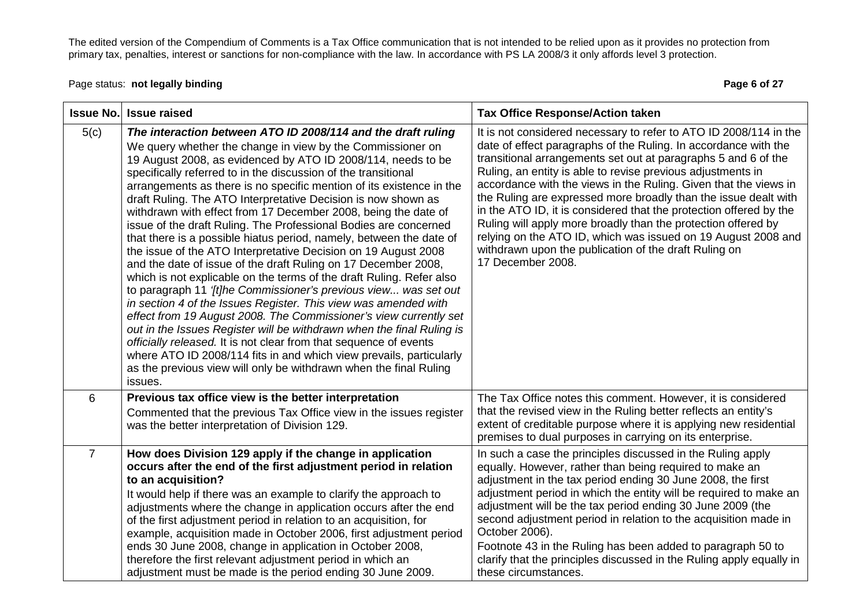Page status: **not legally binding Page 6 of 27 Page 6 of 27** 

|                | <b>Issue No. Issue raised</b>                                                                                                                                                                                                                                                                                                                                                                                                                                                                                                                                                                                                                                                                                                                                                                                                                                                                                                                                                                                                                                                                                                                                                                                                                                                                                                                  | <b>Tax Office Response/Action taken</b>                                                                                                                                                                                                                                                                                                                                                                                                                                                                                                                                                                                                                                                            |
|----------------|------------------------------------------------------------------------------------------------------------------------------------------------------------------------------------------------------------------------------------------------------------------------------------------------------------------------------------------------------------------------------------------------------------------------------------------------------------------------------------------------------------------------------------------------------------------------------------------------------------------------------------------------------------------------------------------------------------------------------------------------------------------------------------------------------------------------------------------------------------------------------------------------------------------------------------------------------------------------------------------------------------------------------------------------------------------------------------------------------------------------------------------------------------------------------------------------------------------------------------------------------------------------------------------------------------------------------------------------|----------------------------------------------------------------------------------------------------------------------------------------------------------------------------------------------------------------------------------------------------------------------------------------------------------------------------------------------------------------------------------------------------------------------------------------------------------------------------------------------------------------------------------------------------------------------------------------------------------------------------------------------------------------------------------------------------|
| 5(c)           | The interaction between ATO ID 2008/114 and the draft ruling<br>We query whether the change in view by the Commissioner on<br>19 August 2008, as evidenced by ATO ID 2008/114, needs to be<br>specifically referred to in the discussion of the transitional<br>arrangements as there is no specific mention of its existence in the<br>draft Ruling. The ATO Interpretative Decision is now shown as<br>withdrawn with effect from 17 December 2008, being the date of<br>issue of the draft Ruling. The Professional Bodies are concerned<br>that there is a possible hiatus period, namely, between the date of<br>the issue of the ATO Interpretative Decision on 19 August 2008<br>and the date of issue of the draft Ruling on 17 December 2008,<br>which is not explicable on the terms of the draft Ruling. Refer also<br>to paragraph 11 '[t]he Commissioner's previous view was set out<br>in section 4 of the Issues Register. This view was amended with<br>effect from 19 August 2008. The Commissioner's view currently set<br>out in the Issues Register will be withdrawn when the final Ruling is<br>officially released. It is not clear from that sequence of events<br>where ATO ID 2008/114 fits in and which view prevails, particularly<br>as the previous view will only be withdrawn when the final Ruling<br>issues. | It is not considered necessary to refer to ATO ID 2008/114 in the<br>date of effect paragraphs of the Ruling. In accordance with the<br>transitional arrangements set out at paragraphs 5 and 6 of the<br>Ruling, an entity is able to revise previous adjustments in<br>accordance with the views in the Ruling. Given that the views in<br>the Ruling are expressed more broadly than the issue dealt with<br>in the ATO ID, it is considered that the protection offered by the<br>Ruling will apply more broadly than the protection offered by<br>relying on the ATO ID, which was issued on 19 August 2008 and<br>withdrawn upon the publication of the draft Ruling on<br>17 December 2008. |
| 6              | Previous tax office view is the better interpretation<br>Commented that the previous Tax Office view in the issues register<br>was the better interpretation of Division 129.                                                                                                                                                                                                                                                                                                                                                                                                                                                                                                                                                                                                                                                                                                                                                                                                                                                                                                                                                                                                                                                                                                                                                                  | The Tax Office notes this comment. However, it is considered<br>that the revised view in the Ruling better reflects an entity's<br>extent of creditable purpose where it is applying new residential<br>premises to dual purposes in carrying on its enterprise.                                                                                                                                                                                                                                                                                                                                                                                                                                   |
| $\overline{7}$ | How does Division 129 apply if the change in application<br>occurs after the end of the first adjustment period in relation<br>to an acquisition?<br>It would help if there was an example to clarify the approach to<br>adjustments where the change in application occurs after the end<br>of the first adjustment period in relation to an acquisition, for<br>example, acquisition made in October 2006, first adjustment period<br>ends 30 June 2008, change in application in October 2008,<br>therefore the first relevant adjustment period in which an<br>adjustment must be made is the period ending 30 June 2009.                                                                                                                                                                                                                                                                                                                                                                                                                                                                                                                                                                                                                                                                                                                  | In such a case the principles discussed in the Ruling apply<br>equally. However, rather than being required to make an<br>adjustment in the tax period ending 30 June 2008, the first<br>adjustment period in which the entity will be required to make an<br>adjustment will be the tax period ending 30 June 2009 (the<br>second adjustment period in relation to the acquisition made in<br>October 2006).<br>Footnote 43 in the Ruling has been added to paragraph 50 to<br>clarify that the principles discussed in the Ruling apply equally in<br>these circumstances.                                                                                                                       |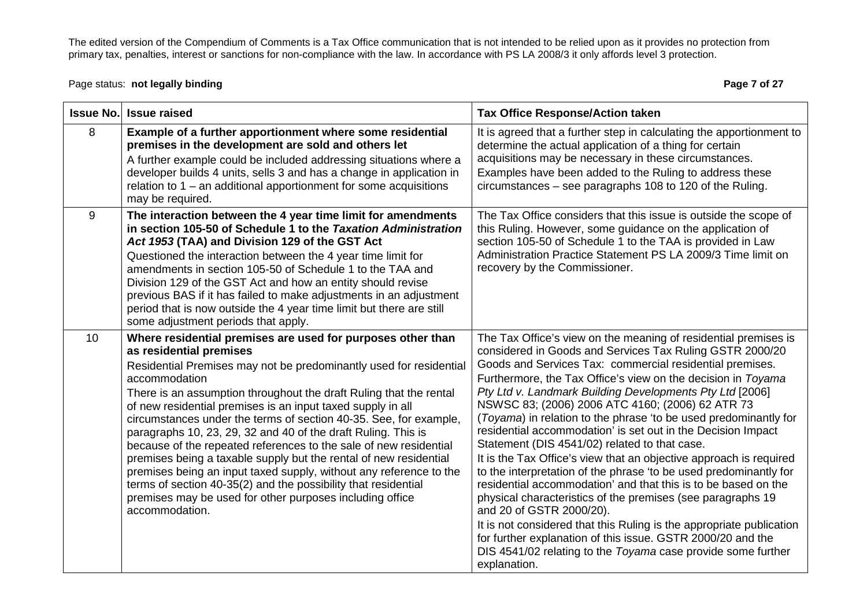Page status: **not legally binding Page 7 of 27** and the page 7 of 27 and the Page 7 of 27 and the Page 7 of 27 and the Page 7 of 27 and the Page 7 of 27 and the Page 7 of 27 and the Page 7 of 27 and the Page 7 of 27 and

| <b>Issue No.</b> | <b>Issue raised</b>                                                                                                                                                                                                                                                                                                                                                                                                                                                                                                                                                                                                                                                                                                                                                                                                      | <b>Tax Office Response/Action taken</b>                                                                                                                                                                                                                                                                                                                                                                                                                                                                                                                                                                                                                                                                                                                                                                                                                                                                                                                                                                                                                                                     |
|------------------|--------------------------------------------------------------------------------------------------------------------------------------------------------------------------------------------------------------------------------------------------------------------------------------------------------------------------------------------------------------------------------------------------------------------------------------------------------------------------------------------------------------------------------------------------------------------------------------------------------------------------------------------------------------------------------------------------------------------------------------------------------------------------------------------------------------------------|---------------------------------------------------------------------------------------------------------------------------------------------------------------------------------------------------------------------------------------------------------------------------------------------------------------------------------------------------------------------------------------------------------------------------------------------------------------------------------------------------------------------------------------------------------------------------------------------------------------------------------------------------------------------------------------------------------------------------------------------------------------------------------------------------------------------------------------------------------------------------------------------------------------------------------------------------------------------------------------------------------------------------------------------------------------------------------------------|
| 8                | Example of a further apportionment where some residential<br>premises in the development are sold and others let<br>A further example could be included addressing situations where a<br>developer builds 4 units, sells 3 and has a change in application in<br>relation to $1 -$ an additional apportionment for some acquisitions<br>may be required.                                                                                                                                                                                                                                                                                                                                                                                                                                                                 | It is agreed that a further step in calculating the apportionment to<br>determine the actual application of a thing for certain<br>acquisitions may be necessary in these circumstances.<br>Examples have been added to the Ruling to address these<br>circumstances – see paragraphs 108 to 120 of the Ruling.                                                                                                                                                                                                                                                                                                                                                                                                                                                                                                                                                                                                                                                                                                                                                                             |
| 9                | The interaction between the 4 year time limit for amendments<br>in section 105-50 of Schedule 1 to the Taxation Administration<br>Act 1953 (TAA) and Division 129 of the GST Act<br>Questioned the interaction between the 4 year time limit for<br>amendments in section 105-50 of Schedule 1 to the TAA and<br>Division 129 of the GST Act and how an entity should revise<br>previous BAS if it has failed to make adjustments in an adjustment<br>period that is now outside the 4 year time limit but there are still<br>some adjustment periods that apply.                                                                                                                                                                                                                                                        | The Tax Office considers that this issue is outside the scope of<br>this Ruling. However, some guidance on the application of<br>section 105-50 of Schedule 1 to the TAA is provided in Law<br>Administration Practice Statement PS LA 2009/3 Time limit on<br>recovery by the Commissioner.                                                                                                                                                                                                                                                                                                                                                                                                                                                                                                                                                                                                                                                                                                                                                                                                |
| 10 <sup>°</sup>  | Where residential premises are used for purposes other than<br>as residential premises<br>Residential Premises may not be predominantly used for residential<br>accommodation<br>There is an assumption throughout the draft Ruling that the rental<br>of new residential premises is an input taxed supply in all<br>circumstances under the terms of section 40-35. See, for example,<br>paragraphs 10, 23, 29, 32 and 40 of the draft Ruling. This is<br>because of the repeated references to the sale of new residential<br>premises being a taxable supply but the rental of new residential<br>premises being an input taxed supply, without any reference to the<br>terms of section 40-35(2) and the possibility that residential<br>premises may be used for other purposes including office<br>accommodation. | The Tax Office's view on the meaning of residential premises is<br>considered in Goods and Services Tax Ruling GSTR 2000/20<br>Goods and Services Tax: commercial residential premises.<br>Furthermore, the Tax Office's view on the decision in Toyama<br>Pty Ltd v. Landmark Building Developments Pty Ltd [2006]<br>NSWSC 83; (2006) 2006 ATC 4160; (2006) 62 ATR 73<br>(Toyama) in relation to the phrase 'to be used predominantly for<br>residential accommodation' is set out in the Decision Impact<br>Statement (DIS 4541/02) related to that case.<br>It is the Tax Office's view that an objective approach is required<br>to the interpretation of the phrase 'to be used predominantly for<br>residential accommodation' and that this is to be based on the<br>physical characteristics of the premises (see paragraphs 19<br>and 20 of GSTR 2000/20).<br>It is not considered that this Ruling is the appropriate publication<br>for further explanation of this issue. GSTR 2000/20 and the<br>DIS 4541/02 relating to the Toyama case provide some further<br>explanation. |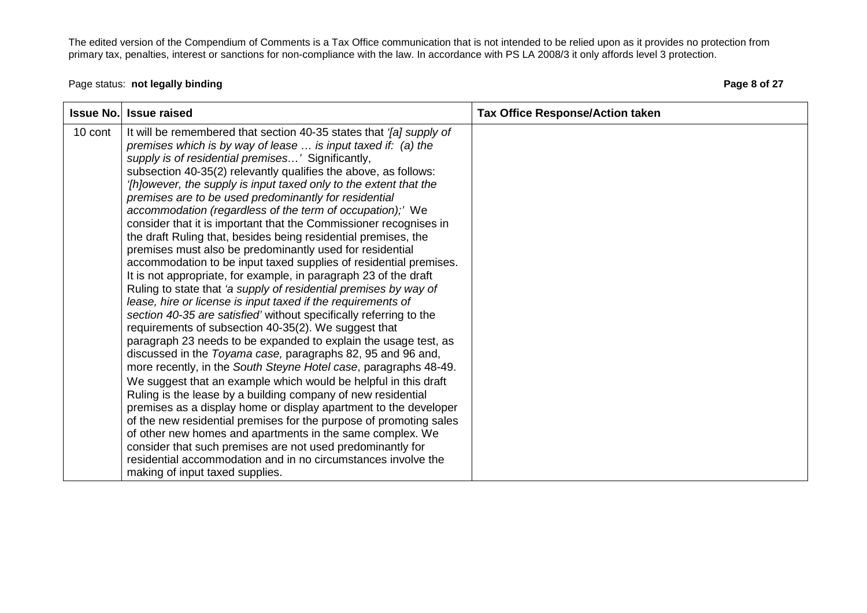## Page status: **not legally binding Page 8 of 27 Page 8 of 27**

| <b>Issue No.</b> | <b>Issue raised</b>                                                                                                                                                                                                                                                                                                                                                                                                                                                                                                                                                                                                                                                                                                                                                                                                                                                                                                                                                                                                                                                                                                                                                                                                                                                                                                                                                                                                                                                                                                                                                                                                                                                                                                                                                                             | <b>Tax Office Response/Action taken</b> |
|------------------|-------------------------------------------------------------------------------------------------------------------------------------------------------------------------------------------------------------------------------------------------------------------------------------------------------------------------------------------------------------------------------------------------------------------------------------------------------------------------------------------------------------------------------------------------------------------------------------------------------------------------------------------------------------------------------------------------------------------------------------------------------------------------------------------------------------------------------------------------------------------------------------------------------------------------------------------------------------------------------------------------------------------------------------------------------------------------------------------------------------------------------------------------------------------------------------------------------------------------------------------------------------------------------------------------------------------------------------------------------------------------------------------------------------------------------------------------------------------------------------------------------------------------------------------------------------------------------------------------------------------------------------------------------------------------------------------------------------------------------------------------------------------------------------------------|-----------------------------------------|
| 10 cont          | It will be remembered that section 40-35 states that '[a] supply of<br>premises which is by way of lease $\ldots$ is input taxed if: (a) the<br>supply is of residential premises' Significantly,<br>subsection 40-35(2) relevantly qualifies the above, as follows:<br>'[h]owever, the supply is input taxed only to the extent that the<br>premises are to be used predominantly for residential<br>accommodation (regardless of the term of occupation);' We<br>consider that it is important that the Commissioner recognises in<br>the draft Ruling that, besides being residential premises, the<br>premises must also be predominantly used for residential<br>accommodation to be input taxed supplies of residential premises.<br>It is not appropriate, for example, in paragraph 23 of the draft<br>Ruling to state that 'a supply of residential premises by way of<br>lease, hire or license is input taxed if the requirements of<br>section 40-35 are satisfied' without specifically referring to the<br>requirements of subsection 40-35(2). We suggest that<br>paragraph 23 needs to be expanded to explain the usage test, as<br>discussed in the Toyama case, paragraphs 82, 95 and 96 and,<br>more recently, in the South Steyne Hotel case, paragraphs 48-49.<br>We suggest that an example which would be helpful in this draft<br>Ruling is the lease by a building company of new residential<br>premises as a display home or display apartment to the developer<br>of the new residential premises for the purpose of promoting sales<br>of other new homes and apartments in the same complex. We<br>consider that such premises are not used predominantly for<br>residential accommodation and in no circumstances involve the<br>making of input taxed supplies. |                                         |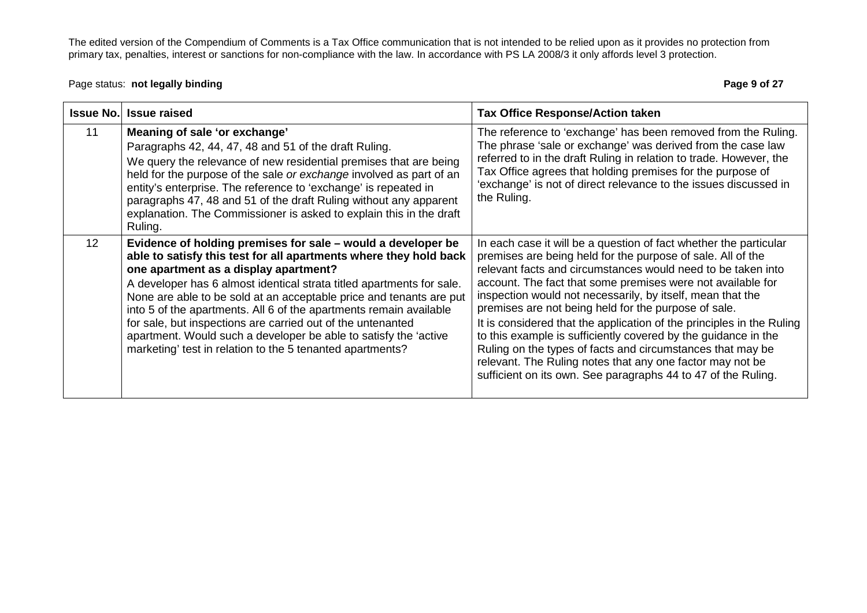#### Page status: **not legally binding Page 9 of 27 Page 9 of 27**

| <b>Issue No.</b> | <b>Issue raised</b>                                                                                                                                                                                                                                                                                                                                                                                                                                                                                                                                                                              | <b>Tax Office Response/Action taken</b>                                                                                                                                                                                                                                                                                                                                                                                                                                                                                                                                                                                                                                                                                      |
|------------------|--------------------------------------------------------------------------------------------------------------------------------------------------------------------------------------------------------------------------------------------------------------------------------------------------------------------------------------------------------------------------------------------------------------------------------------------------------------------------------------------------------------------------------------------------------------------------------------------------|------------------------------------------------------------------------------------------------------------------------------------------------------------------------------------------------------------------------------------------------------------------------------------------------------------------------------------------------------------------------------------------------------------------------------------------------------------------------------------------------------------------------------------------------------------------------------------------------------------------------------------------------------------------------------------------------------------------------------|
| 11               | Meaning of sale 'or exchange'<br>Paragraphs 42, 44, 47, 48 and 51 of the draft Ruling.<br>We query the relevance of new residential premises that are being<br>held for the purpose of the sale or exchange involved as part of an<br>entity's enterprise. The reference to 'exchange' is repeated in<br>paragraphs 47, 48 and 51 of the draft Ruling without any apparent<br>explanation. The Commissioner is asked to explain this in the draft<br>Ruling.                                                                                                                                     | The reference to 'exchange' has been removed from the Ruling.<br>The phrase 'sale or exchange' was derived from the case law<br>referred to in the draft Ruling in relation to trade. However, the<br>Tax Office agrees that holding premises for the purpose of<br>'exchange' is not of direct relevance to the issues discussed in<br>the Ruling.                                                                                                                                                                                                                                                                                                                                                                          |
| 12 <sup>°</sup>  | Evidence of holding premises for sale – would a developer be<br>able to satisfy this test for all apartments where they hold back<br>one apartment as a display apartment?<br>A developer has 6 almost identical strata titled apartments for sale.<br>None are able to be sold at an acceptable price and tenants are put<br>into 5 of the apartments. All 6 of the apartments remain available<br>for sale, but inspections are carried out of the untenanted<br>apartment. Would such a developer be able to satisfy the 'active<br>marketing' test in relation to the 5 tenanted apartments? | In each case it will be a question of fact whether the particular<br>premises are being held for the purpose of sale. All of the<br>relevant facts and circumstances would need to be taken into<br>account. The fact that some premises were not available for<br>inspection would not necessarily, by itself, mean that the<br>premises are not being held for the purpose of sale.<br>It is considered that the application of the principles in the Ruling<br>to this example is sufficiently covered by the guidance in the<br>Ruling on the types of facts and circumstances that may be<br>relevant. The Ruling notes that any one factor may not be<br>sufficient on its own. See paragraphs 44 to 47 of the Ruling. |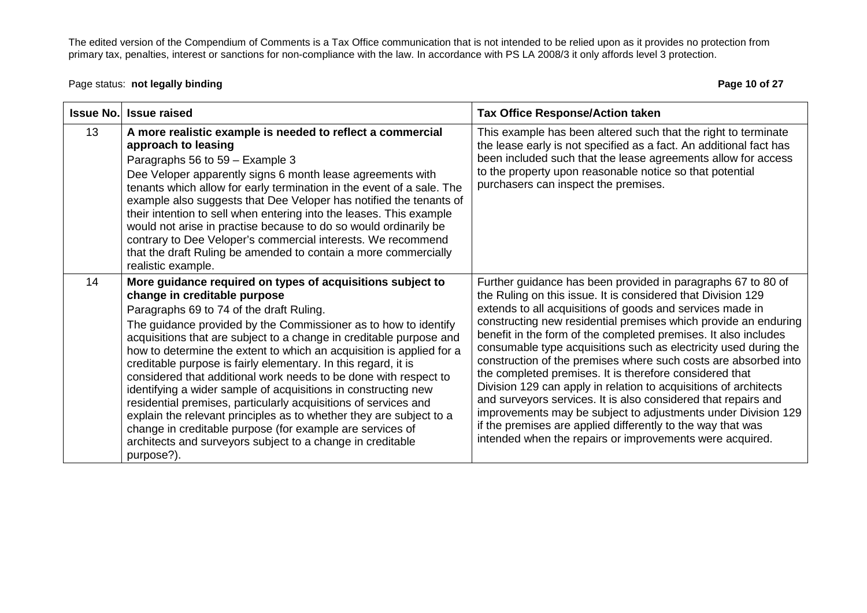Page status: **not legally binding Page 10 of 27 Page 10 of 27** 

| <b>Issue No.</b> | <b>Issue raised</b>                                                                                                                                                                                                                                                                                                                                                                                                                                                                                                                                                                                                                                                                                                                                                                                                                                 | <b>Tax Office Response/Action taken</b>                                                                                                                                                                                                                                                                                                                                                                                                                                                                                                                                                                                                                                                                                                                                                                                                                             |
|------------------|-----------------------------------------------------------------------------------------------------------------------------------------------------------------------------------------------------------------------------------------------------------------------------------------------------------------------------------------------------------------------------------------------------------------------------------------------------------------------------------------------------------------------------------------------------------------------------------------------------------------------------------------------------------------------------------------------------------------------------------------------------------------------------------------------------------------------------------------------------|---------------------------------------------------------------------------------------------------------------------------------------------------------------------------------------------------------------------------------------------------------------------------------------------------------------------------------------------------------------------------------------------------------------------------------------------------------------------------------------------------------------------------------------------------------------------------------------------------------------------------------------------------------------------------------------------------------------------------------------------------------------------------------------------------------------------------------------------------------------------|
| 13               | A more realistic example is needed to reflect a commercial<br>approach to leasing<br>Paragraphs 56 to 59 - Example 3<br>Dee Veloper apparently signs 6 month lease agreements with<br>tenants which allow for early termination in the event of a sale. The<br>example also suggests that Dee Veloper has notified the tenants of<br>their intention to sell when entering into the leases. This example<br>would not arise in practise because to do so would ordinarily be<br>contrary to Dee Veloper's commercial interests. We recommend<br>that the draft Ruling be amended to contain a more commercially<br>realistic example.                                                                                                                                                                                                               | This example has been altered such that the right to terminate<br>the lease early is not specified as a fact. An additional fact has<br>been included such that the lease agreements allow for access<br>to the property upon reasonable notice so that potential<br>purchasers can inspect the premises.                                                                                                                                                                                                                                                                                                                                                                                                                                                                                                                                                           |
| 14               | More guidance required on types of acquisitions subject to<br>change in creditable purpose<br>Paragraphs 69 to 74 of the draft Ruling.<br>The guidance provided by the Commissioner as to how to identify<br>acquisitions that are subject to a change in creditable purpose and<br>how to determine the extent to which an acquisition is applied for a<br>creditable purpose is fairly elementary. In this regard, it is<br>considered that additional work needs to be done with respect to<br>identifying a wider sample of acquisitions in constructing new<br>residential premises, particularly acquisitions of services and<br>explain the relevant principles as to whether they are subject to a<br>change in creditable purpose (for example are services of<br>architects and surveyors subject to a change in creditable<br>purpose?). | Further guidance has been provided in paragraphs 67 to 80 of<br>the Ruling on this issue. It is considered that Division 129<br>extends to all acquisitions of goods and services made in<br>constructing new residential premises which provide an enduring<br>benefit in the form of the completed premises. It also includes<br>consumable type acquisitions such as electricity used during the<br>construction of the premises where such costs are absorbed into<br>the completed premises. It is therefore considered that<br>Division 129 can apply in relation to acquisitions of architects<br>and surveyors services. It is also considered that repairs and<br>improvements may be subject to adjustments under Division 129<br>if the premises are applied differently to the way that was<br>intended when the repairs or improvements were acquired. |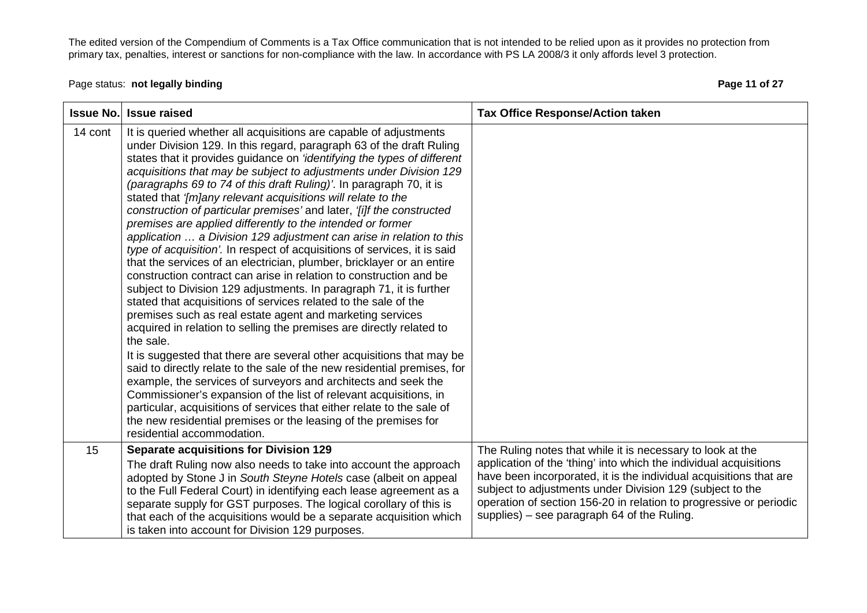# Page status: **not legally binding Page 11 of 27** and the page 11 of 27 and the page 11 of 27 and the Page 11 of 27

| <b>Issue No.</b> | <b>Issue raised</b>                                                                                                                                                                                                                                                                                                                                                                                                                                                                                                                                                                                                                                                                                                                                                                                                                                                                                                                                                                                                                                                                                                                                                                                                                                                                                                                                                                                                                                                                                                                                                                                              | <b>Tax Office Response/Action taken</b>                                                                                                                                                                                                                                                                                                                                                 |
|------------------|------------------------------------------------------------------------------------------------------------------------------------------------------------------------------------------------------------------------------------------------------------------------------------------------------------------------------------------------------------------------------------------------------------------------------------------------------------------------------------------------------------------------------------------------------------------------------------------------------------------------------------------------------------------------------------------------------------------------------------------------------------------------------------------------------------------------------------------------------------------------------------------------------------------------------------------------------------------------------------------------------------------------------------------------------------------------------------------------------------------------------------------------------------------------------------------------------------------------------------------------------------------------------------------------------------------------------------------------------------------------------------------------------------------------------------------------------------------------------------------------------------------------------------------------------------------------------------------------------------------|-----------------------------------------------------------------------------------------------------------------------------------------------------------------------------------------------------------------------------------------------------------------------------------------------------------------------------------------------------------------------------------------|
| 14 cont          | It is queried whether all acquisitions are capable of adjustments<br>under Division 129. In this regard, paragraph 63 of the draft Ruling<br>states that it provides guidance on 'identifying the types of different<br>acquisitions that may be subject to adjustments under Division 129<br>(paragraphs 69 to 74 of this draft Ruling)'. In paragraph 70, it is<br>stated that '[m]any relevant acquisitions will relate to the<br>construction of particular premises' and later, '[i]f the constructed<br>premises are applied differently to the intended or former<br>application  a Division 129 adjustment can arise in relation to this<br>type of acquisition'. In respect of acquisitions of services, it is said<br>that the services of an electrician, plumber, bricklayer or an entire<br>construction contract can arise in relation to construction and be<br>subject to Division 129 adjustments. In paragraph 71, it is further<br>stated that acquisitions of services related to the sale of the<br>premises such as real estate agent and marketing services<br>acquired in relation to selling the premises are directly related to<br>the sale.<br>It is suggested that there are several other acquisitions that may be<br>said to directly relate to the sale of the new residential premises, for<br>example, the services of surveyors and architects and seek the<br>Commissioner's expansion of the list of relevant acquisitions, in<br>particular, acquisitions of services that either relate to the sale of<br>the new residential premises or the leasing of the premises for |                                                                                                                                                                                                                                                                                                                                                                                         |
|                  | residential accommodation.                                                                                                                                                                                                                                                                                                                                                                                                                                                                                                                                                                                                                                                                                                                                                                                                                                                                                                                                                                                                                                                                                                                                                                                                                                                                                                                                                                                                                                                                                                                                                                                       |                                                                                                                                                                                                                                                                                                                                                                                         |
| 15               | <b>Separate acquisitions for Division 129</b><br>The draft Ruling now also needs to take into account the approach<br>adopted by Stone J in South Steyne Hotels case (albeit on appeal<br>to the Full Federal Court) in identifying each lease agreement as a<br>separate supply for GST purposes. The logical corollary of this is<br>that each of the acquisitions would be a separate acquisition which<br>is taken into account for Division 129 purposes.                                                                                                                                                                                                                                                                                                                                                                                                                                                                                                                                                                                                                                                                                                                                                                                                                                                                                                                                                                                                                                                                                                                                                   | The Ruling notes that while it is necessary to look at the<br>application of the 'thing' into which the individual acquisitions<br>have been incorporated, it is the individual acquisitions that are<br>subject to adjustments under Division 129 (subject to the<br>operation of section 156-20 in relation to progressive or periodic<br>supplies) - see paragraph 64 of the Ruling. |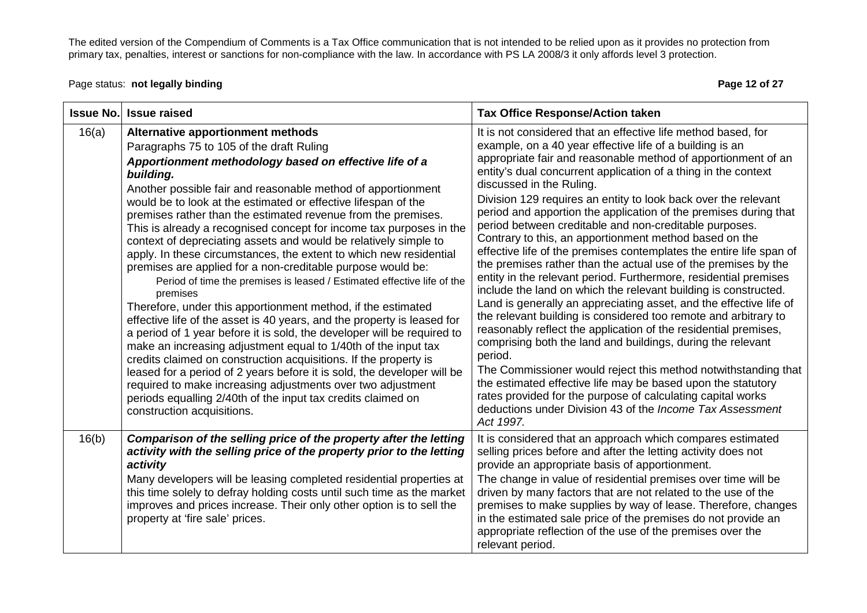Page status: **not legally binding Page 12 of 27** and the page 12 of 27 and the Page 12 of 27 and the Page 12 of 27

| <b>Issue No.</b> | <b>Issue raised</b>                                                                                                                                                                                                                                                                                                                                                                                                                                                                                                                                                                                                                                                                                                                                                                                                                                                                                                                                                                                                                                                                                                                                                                                                                                                                                                                | <b>Tax Office Response/Action taken</b>                                                                                                                                                                                                                                                                                                                                                                                                                                                                                                                                                                                                                                                                                                                                                                                                                                                                                                                                                                                                                                                                                                                                                                                                                                                                                                                                                             |
|------------------|------------------------------------------------------------------------------------------------------------------------------------------------------------------------------------------------------------------------------------------------------------------------------------------------------------------------------------------------------------------------------------------------------------------------------------------------------------------------------------------------------------------------------------------------------------------------------------------------------------------------------------------------------------------------------------------------------------------------------------------------------------------------------------------------------------------------------------------------------------------------------------------------------------------------------------------------------------------------------------------------------------------------------------------------------------------------------------------------------------------------------------------------------------------------------------------------------------------------------------------------------------------------------------------------------------------------------------|-----------------------------------------------------------------------------------------------------------------------------------------------------------------------------------------------------------------------------------------------------------------------------------------------------------------------------------------------------------------------------------------------------------------------------------------------------------------------------------------------------------------------------------------------------------------------------------------------------------------------------------------------------------------------------------------------------------------------------------------------------------------------------------------------------------------------------------------------------------------------------------------------------------------------------------------------------------------------------------------------------------------------------------------------------------------------------------------------------------------------------------------------------------------------------------------------------------------------------------------------------------------------------------------------------------------------------------------------------------------------------------------------------|
| 16(a)            | Alternative apportionment methods<br>Paragraphs 75 to 105 of the draft Ruling<br>Apportionment methodology based on effective life of a<br>building.<br>Another possible fair and reasonable method of apportionment<br>would be to look at the estimated or effective lifespan of the<br>premises rather than the estimated revenue from the premises.<br>This is already a recognised concept for income tax purposes in the<br>context of depreciating assets and would be relatively simple to<br>apply. In these circumstances, the extent to which new residential<br>premises are applied for a non-creditable purpose would be:<br>Period of time the premises is leased / Estimated effective life of the<br>premises<br>Therefore, under this apportionment method, if the estimated<br>effective life of the asset is 40 years, and the property is leased for<br>a period of 1 year before it is sold, the developer will be required to<br>make an increasing adjustment equal to 1/40th of the input tax<br>credits claimed on construction acquisitions. If the property is<br>leased for a period of 2 years before it is sold, the developer will be<br>required to make increasing adjustments over two adjustment<br>periods equalling 2/40th of the input tax credits claimed on<br>construction acquisitions. | It is not considered that an effective life method based, for<br>example, on a 40 year effective life of a building is an<br>appropriate fair and reasonable method of apportionment of an<br>entity's dual concurrent application of a thing in the context<br>discussed in the Ruling.<br>Division 129 requires an entity to look back over the relevant<br>period and apportion the application of the premises during that<br>period between creditable and non-creditable purposes.<br>Contrary to this, an apportionment method based on the<br>effective life of the premises contemplates the entire life span of<br>the premises rather than the actual use of the premises by the<br>entity in the relevant period. Furthermore, residential premises<br>include the land on which the relevant building is constructed.<br>Land is generally an appreciating asset, and the effective life of<br>the relevant building is considered too remote and arbitrary to<br>reasonably reflect the application of the residential premises,<br>comprising both the land and buildings, during the relevant<br>period.<br>The Commissioner would reject this method notwithstanding that<br>the estimated effective life may be based upon the statutory<br>rates provided for the purpose of calculating capital works<br>deductions under Division 43 of the Income Tax Assessment<br>Act 1997. |
| 16(b)            | Comparison of the selling price of the property after the letting<br>activity with the selling price of the property prior to the letting<br>activity<br>Many developers will be leasing completed residential properties at<br>this time solely to defray holding costs until such time as the market<br>improves and prices increase. Their only other option is to sell the<br>property at 'fire sale' prices.                                                                                                                                                                                                                                                                                                                                                                                                                                                                                                                                                                                                                                                                                                                                                                                                                                                                                                                  | It is considered that an approach which compares estimated<br>selling prices before and after the letting activity does not<br>provide an appropriate basis of apportionment.<br>The change in value of residential premises over time will be<br>driven by many factors that are not related to the use of the<br>premises to make supplies by way of lease. Therefore, changes<br>in the estimated sale price of the premises do not provide an<br>appropriate reflection of the use of the premises over the<br>relevant period.                                                                                                                                                                                                                                                                                                                                                                                                                                                                                                                                                                                                                                                                                                                                                                                                                                                                 |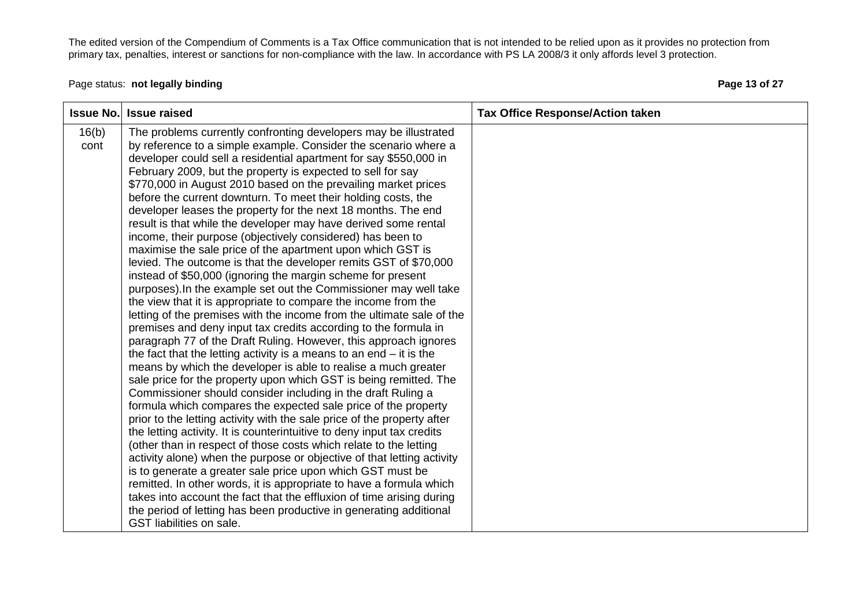#### Page status: **not legally binding Page 13 of 27 Page 13 of 27**

| <b>Issue No.</b> | <b>Issue raised</b>                                                                                                                  | <b>Tax Office Response/Action taken</b> |
|------------------|--------------------------------------------------------------------------------------------------------------------------------------|-----------------------------------------|
| 16(b)<br>cont    | The problems currently confronting developers may be illustrated                                                                     |                                         |
|                  | by reference to a simple example. Consider the scenario where a<br>developer could sell a residential apartment for say \$550,000 in |                                         |
|                  | February 2009, but the property is expected to sell for say                                                                          |                                         |
|                  | \$770,000 in August 2010 based on the prevailing market prices                                                                       |                                         |
|                  | before the current downturn. To meet their holding costs, the                                                                        |                                         |
|                  | developer leases the property for the next 18 months. The end                                                                        |                                         |
|                  | result is that while the developer may have derived some rental                                                                      |                                         |
|                  | income, their purpose (objectively considered) has been to                                                                           |                                         |
|                  | maximise the sale price of the apartment upon which GST is<br>levied. The outcome is that the developer remits GST of \$70,000       |                                         |
|                  | instead of \$50,000 (ignoring the margin scheme for present                                                                          |                                         |
|                  | purposes). In the example set out the Commissioner may well take                                                                     |                                         |
|                  | the view that it is appropriate to compare the income from the                                                                       |                                         |
|                  | letting of the premises with the income from the ultimate sale of the                                                                |                                         |
|                  | premises and deny input tax credits according to the formula in                                                                      |                                         |
|                  | paragraph 77 of the Draft Ruling. However, this approach ignores                                                                     |                                         |
|                  | the fact that the letting activity is a means to an end $-$ it is the                                                                |                                         |
|                  | means by which the developer is able to realise a much greater                                                                       |                                         |
|                  | sale price for the property upon which GST is being remitted. The<br>Commissioner should consider including in the draft Ruling a    |                                         |
|                  | formula which compares the expected sale price of the property                                                                       |                                         |
|                  | prior to the letting activity with the sale price of the property after                                                              |                                         |
|                  | the letting activity. It is counterintuitive to deny input tax credits                                                               |                                         |
|                  | (other than in respect of those costs which relate to the letting                                                                    |                                         |
|                  | activity alone) when the purpose or objective of that letting activity                                                               |                                         |
|                  | is to generate a greater sale price upon which GST must be                                                                           |                                         |
|                  | remitted. In other words, it is appropriate to have a formula which                                                                  |                                         |
|                  | takes into account the fact that the effluxion of time arising during                                                                |                                         |
|                  | the period of letting has been productive in generating additional<br>GST liabilities on sale.                                       |                                         |
|                  |                                                                                                                                      |                                         |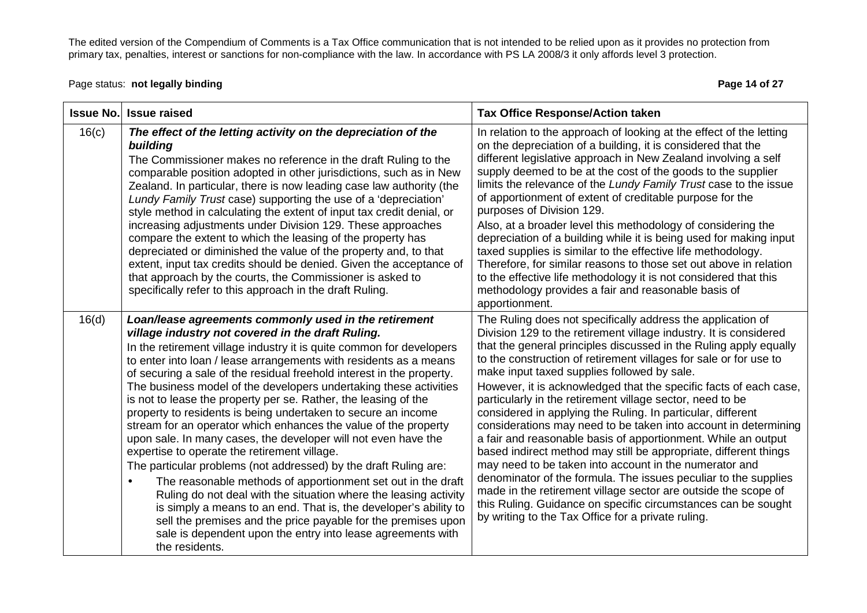The edited version of the Compendium of Comments is a Tax Office communication that is not intended to be relied upon as it provides no protection from<br>primary tax, penalties, interest or sanctions for non-compliance with

Page status: **not legally binding Page 14 of 27 Page 14 of 27** 

| <b>Issue No.</b> | <b>Issue raised</b>                                                                                                                                                                                                                                                                                                                                                                                                                                                                                                                                                                                                                                                                                                                                                                                                                                                                                                                                                                                                                                                                                                                                          | <b>Tax Office Response/Action taken</b>                                                                                                                                                                                                                                                                                                                                                                                                                                                                                                                                                                                                                                                                                                                                                                                                                                                                                                                                                                                                                  |
|------------------|--------------------------------------------------------------------------------------------------------------------------------------------------------------------------------------------------------------------------------------------------------------------------------------------------------------------------------------------------------------------------------------------------------------------------------------------------------------------------------------------------------------------------------------------------------------------------------------------------------------------------------------------------------------------------------------------------------------------------------------------------------------------------------------------------------------------------------------------------------------------------------------------------------------------------------------------------------------------------------------------------------------------------------------------------------------------------------------------------------------------------------------------------------------|----------------------------------------------------------------------------------------------------------------------------------------------------------------------------------------------------------------------------------------------------------------------------------------------------------------------------------------------------------------------------------------------------------------------------------------------------------------------------------------------------------------------------------------------------------------------------------------------------------------------------------------------------------------------------------------------------------------------------------------------------------------------------------------------------------------------------------------------------------------------------------------------------------------------------------------------------------------------------------------------------------------------------------------------------------|
| 16(c)            | The effect of the letting activity on the depreciation of the<br>building<br>The Commissioner makes no reference in the draft Ruling to the<br>comparable position adopted in other jurisdictions, such as in New<br>Zealand. In particular, there is now leading case law authority (the<br>Lundy Family Trust case) supporting the use of a 'depreciation'<br>style method in calculating the extent of input tax credit denial, or<br>increasing adjustments under Division 129. These approaches<br>compare the extent to which the leasing of the property has<br>depreciated or diminished the value of the property and, to that<br>extent, input tax credits should be denied. Given the acceptance of<br>that approach by the courts, the Commissioner is asked to<br>specifically refer to this approach in the draft Ruling.                                                                                                                                                                                                                                                                                                                      | In relation to the approach of looking at the effect of the letting<br>on the depreciation of a building, it is considered that the<br>different legislative approach in New Zealand involving a self<br>supply deemed to be at the cost of the goods to the supplier<br>limits the relevance of the Lundy Family Trust case to the issue<br>of apportionment of extent of creditable purpose for the<br>purposes of Division 129.<br>Also, at a broader level this methodology of considering the<br>depreciation of a building while it is being used for making input<br>taxed supplies is similar to the effective life methodology.<br>Therefore, for similar reasons to those set out above in relation<br>to the effective life methodology it is not considered that this<br>methodology provides a fair and reasonable basis of<br>apportionment.                                                                                                                                                                                               |
| 16(d)            | Loan/lease agreements commonly used in the retirement<br>village industry not covered in the draft Ruling.<br>In the retirement village industry it is quite common for developers<br>to enter into loan / lease arrangements with residents as a means<br>of securing a sale of the residual freehold interest in the property.<br>The business model of the developers undertaking these activities<br>is not to lease the property per se. Rather, the leasing of the<br>property to residents is being undertaken to secure an income<br>stream for an operator which enhances the value of the property<br>upon sale. In many cases, the developer will not even have the<br>expertise to operate the retirement village.<br>The particular problems (not addressed) by the draft Ruling are:<br>The reasonable methods of apportionment set out in the draft<br>Ruling do not deal with the situation where the leasing activity<br>is simply a means to an end. That is, the developer's ability to<br>sell the premises and the price payable for the premises upon<br>sale is dependent upon the entry into lease agreements with<br>the residents. | The Ruling does not specifically address the application of<br>Division 129 to the retirement village industry. It is considered<br>that the general principles discussed in the Ruling apply equally<br>to the construction of retirement villages for sale or for use to<br>make input taxed supplies followed by sale.<br>However, it is acknowledged that the specific facts of each case,<br>particularly in the retirement village sector, need to be<br>considered in applying the Ruling. In particular, different<br>considerations may need to be taken into account in determining<br>a fair and reasonable basis of apportionment. While an output<br>based indirect method may still be appropriate, different things<br>may need to be taken into account in the numerator and<br>denominator of the formula. The issues peculiar to the supplies<br>made in the retirement village sector are outside the scope of<br>this Ruling. Guidance on specific circumstances can be sought<br>by writing to the Tax Office for a private ruling. |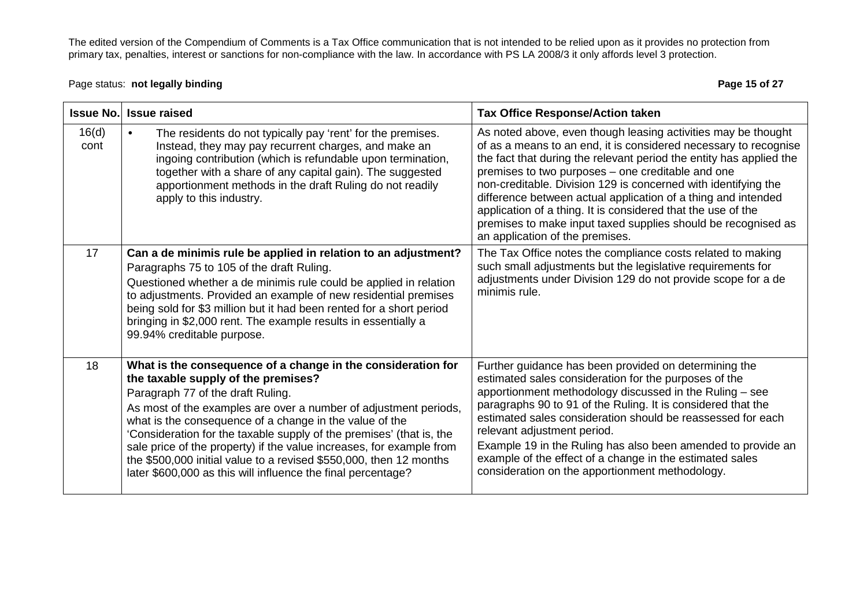The edited version of the Compendium of Comments is a Tax Office communication that is not intended to be relied upon as it provides no protection from<br>primary tax, penalties, interest or sanctions for non-compliance with

# Page status: **not legally binding Page 15 of 27 Page 15 of 27**

| <b>Issue No.</b> | <b>Issue raised</b>                                                                                                                                                                                                                                                                                                                                                                                                                                                                                                                                           | <b>Tax Office Response/Action taken</b>                                                                                                                                                                                                                                                                                                                                                                                                                                                                                                                              |
|------------------|---------------------------------------------------------------------------------------------------------------------------------------------------------------------------------------------------------------------------------------------------------------------------------------------------------------------------------------------------------------------------------------------------------------------------------------------------------------------------------------------------------------------------------------------------------------|----------------------------------------------------------------------------------------------------------------------------------------------------------------------------------------------------------------------------------------------------------------------------------------------------------------------------------------------------------------------------------------------------------------------------------------------------------------------------------------------------------------------------------------------------------------------|
| 16(d)<br>cont    | The residents do not typically pay 'rent' for the premises.<br>Instead, they may pay recurrent charges, and make an<br>ingoing contribution (which is refundable upon termination,<br>together with a share of any capital gain). The suggested<br>apportionment methods in the draft Ruling do not readily<br>apply to this industry.                                                                                                                                                                                                                        | As noted above, even though leasing activities may be thought<br>of as a means to an end, it is considered necessary to recognise<br>the fact that during the relevant period the entity has applied the<br>premises to two purposes - one creditable and one<br>non-creditable. Division 129 is concerned with identifying the<br>difference between actual application of a thing and intended<br>application of a thing. It is considered that the use of the<br>premises to make input taxed supplies should be recognised as<br>an application of the premises. |
| 17               | Can a de minimis rule be applied in relation to an adjustment?<br>Paragraphs 75 to 105 of the draft Ruling.<br>Questioned whether a de minimis rule could be applied in relation<br>to adjustments. Provided an example of new residential premises<br>being sold for \$3 million but it had been rented for a short period<br>bringing in \$2,000 rent. The example results in essentially a<br>99.94% creditable purpose.                                                                                                                                   | The Tax Office notes the compliance costs related to making<br>such small adjustments but the legislative requirements for<br>adjustments under Division 129 do not provide scope for a de<br>minimis rule.                                                                                                                                                                                                                                                                                                                                                          |
| 18               | What is the consequence of a change in the consideration for<br>the taxable supply of the premises?<br>Paragraph 77 of the draft Ruling.<br>As most of the examples are over a number of adjustment periods,<br>what is the consequence of a change in the value of the<br>'Consideration for the taxable supply of the premises' (that is, the<br>sale price of the property) if the value increases, for example from<br>the \$500,000 initial value to a revised \$550,000, then 12 months<br>later \$600,000 as this will influence the final percentage? | Further guidance has been provided on determining the<br>estimated sales consideration for the purposes of the<br>apportionment methodology discussed in the Ruling - see<br>paragraphs 90 to 91 of the Ruling. It is considered that the<br>estimated sales consideration should be reassessed for each<br>relevant adjustment period.<br>Example 19 in the Ruling has also been amended to provide an<br>example of the effect of a change in the estimated sales<br>consideration on the apportionment methodology.                                               |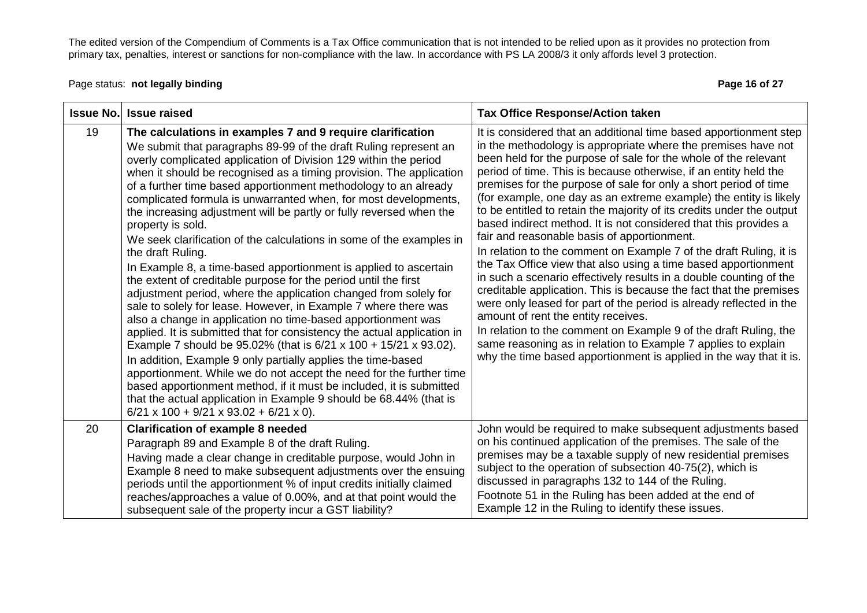Page status: **not legally binding Page 16 of 27 Page 16 of 27** 

| <b>Issue No.</b> | <b>Issue raised</b>                                                                                                                                                                                                                                                                                                                                                                                                                                                                                                                                                                                                                                                                                                                                                                                                                                                                                                                                                                                                                                                                                                                                                                                                                                                                                                                                                                                                                                  | <b>Tax Office Response/Action taken</b>                                                                                                                                                                                                                                                                                                                                                                                                                                                                                                                                                                                                                                                                                                                                                                                                                                                                                                                                                                                                                                                                                                                                                                                     |
|------------------|------------------------------------------------------------------------------------------------------------------------------------------------------------------------------------------------------------------------------------------------------------------------------------------------------------------------------------------------------------------------------------------------------------------------------------------------------------------------------------------------------------------------------------------------------------------------------------------------------------------------------------------------------------------------------------------------------------------------------------------------------------------------------------------------------------------------------------------------------------------------------------------------------------------------------------------------------------------------------------------------------------------------------------------------------------------------------------------------------------------------------------------------------------------------------------------------------------------------------------------------------------------------------------------------------------------------------------------------------------------------------------------------------------------------------------------------------|-----------------------------------------------------------------------------------------------------------------------------------------------------------------------------------------------------------------------------------------------------------------------------------------------------------------------------------------------------------------------------------------------------------------------------------------------------------------------------------------------------------------------------------------------------------------------------------------------------------------------------------------------------------------------------------------------------------------------------------------------------------------------------------------------------------------------------------------------------------------------------------------------------------------------------------------------------------------------------------------------------------------------------------------------------------------------------------------------------------------------------------------------------------------------------------------------------------------------------|
| 19               | The calculations in examples 7 and 9 require clarification<br>We submit that paragraphs 89-99 of the draft Ruling represent an<br>overly complicated application of Division 129 within the period<br>when it should be recognised as a timing provision. The application<br>of a further time based apportionment methodology to an already<br>complicated formula is unwarranted when, for most developments,<br>the increasing adjustment will be partly or fully reversed when the<br>property is sold.<br>We seek clarification of the calculations in some of the examples in<br>the draft Ruling.<br>In Example 8, a time-based apportionment is applied to ascertain<br>the extent of creditable purpose for the period until the first<br>adjustment period, where the application changed from solely for<br>sale to solely for lease. However, in Example 7 where there was<br>also a change in application no time-based apportionment was<br>applied. It is submitted that for consistency the actual application in<br>Example 7 should be 95.02% (that is 6/21 x 100 + 15/21 x 93.02).<br>In addition, Example 9 only partially applies the time-based<br>apportionment. While we do not accept the need for the further time<br>based apportionment method, if it must be included, it is submitted<br>that the actual application in Example 9 should be 68.44% (that is<br>$6/21 \times 100 + 9/21 \times 93.02 + 6/21 \times 0$ . | It is considered that an additional time based apportionment step<br>in the methodology is appropriate where the premises have not<br>been held for the purpose of sale for the whole of the relevant<br>period of time. This is because otherwise, if an entity held the<br>premises for the purpose of sale for only a short period of time<br>(for example, one day as an extreme example) the entity is likely<br>to be entitled to retain the majority of its credits under the output<br>based indirect method. It is not considered that this provides a<br>fair and reasonable basis of apportionment.<br>In relation to the comment on Example 7 of the draft Ruling, it is<br>the Tax Office view that also using a time based apportionment<br>in such a scenario effectively results in a double counting of the<br>creditable application. This is because the fact that the premises<br>were only leased for part of the period is already reflected in the<br>amount of rent the entity receives.<br>In relation to the comment on Example 9 of the draft Ruling, the<br>same reasoning as in relation to Example 7 applies to explain<br>why the time based apportionment is applied in the way that it is. |
| 20               | <b>Clarification of example 8 needed</b><br>Paragraph 89 and Example 8 of the draft Ruling.<br>Having made a clear change in creditable purpose, would John in<br>Example 8 need to make subsequent adjustments over the ensuing<br>periods until the apportionment % of input credits initially claimed<br>reaches/approaches a value of 0.00%, and at that point would the<br>subsequent sale of the property incur a GST liability?                                                                                                                                                                                                                                                                                                                                                                                                                                                                                                                                                                                                                                                                                                                                                                                                                                                                                                                                                                                                               | John would be required to make subsequent adjustments based<br>on his continued application of the premises. The sale of the<br>premises may be a taxable supply of new residential premises<br>subject to the operation of subsection 40-75(2), which is<br>discussed in paragraphs 132 to 144 of the Ruling.<br>Footnote 51 in the Ruling has been added at the end of<br>Example 12 in the Ruling to identify these issues.                                                                                                                                                                                                                                                                                                                                                                                                                                                                                                                                                                                                                                                                                                                                                                                              |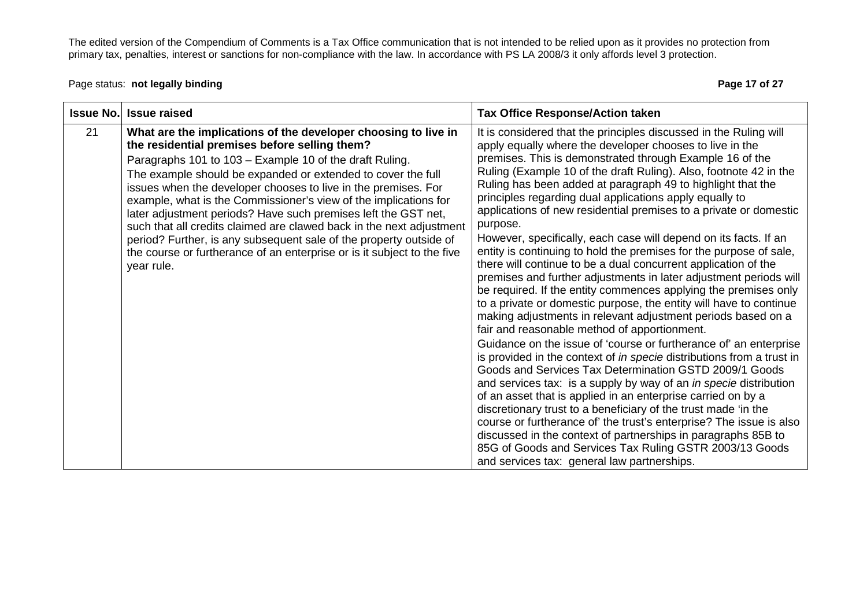The edited version of the Compendium of Comments is a Tax Office communication that is not intended to be relied upon as it provides no protection from<br>primary tax, penalties, interest or sanctions for non-compliance with

Page status: **not legally binding Page 17 of 27** and the page 17 of 27 and the Page 17 of 27 and the Page 17 of 27

| <b>Issue No.</b> | <b>Issue raised</b>                                                                                                                                                                                                                                                                                                                                                                                                                                                                                                                                                                                                                                                                       | <b>Tax Office Response/Action taken</b>                                                                                                                                                                                                                                                                                                                                                                                                                                                                                                                                                                                                                                                                                                                                                                                                                                                                                                                                                                                                                                                                                                                                                                                                                                                                                                                                                                                                                                                                                                                                                                                                                                                    |
|------------------|-------------------------------------------------------------------------------------------------------------------------------------------------------------------------------------------------------------------------------------------------------------------------------------------------------------------------------------------------------------------------------------------------------------------------------------------------------------------------------------------------------------------------------------------------------------------------------------------------------------------------------------------------------------------------------------------|--------------------------------------------------------------------------------------------------------------------------------------------------------------------------------------------------------------------------------------------------------------------------------------------------------------------------------------------------------------------------------------------------------------------------------------------------------------------------------------------------------------------------------------------------------------------------------------------------------------------------------------------------------------------------------------------------------------------------------------------------------------------------------------------------------------------------------------------------------------------------------------------------------------------------------------------------------------------------------------------------------------------------------------------------------------------------------------------------------------------------------------------------------------------------------------------------------------------------------------------------------------------------------------------------------------------------------------------------------------------------------------------------------------------------------------------------------------------------------------------------------------------------------------------------------------------------------------------------------------------------------------------------------------------------------------------|
| 21               | What are the implications of the developer choosing to live in<br>the residential premises before selling them?<br>Paragraphs 101 to 103 - Example 10 of the draft Ruling.<br>The example should be expanded or extended to cover the full<br>issues when the developer chooses to live in the premises. For<br>example, what is the Commissioner's view of the implications for<br>later adjustment periods? Have such premises left the GST net,<br>such that all credits claimed are clawed back in the next adjustment<br>period? Further, is any subsequent sale of the property outside of<br>the course or furtherance of an enterprise or is it subject to the five<br>year rule. | It is considered that the principles discussed in the Ruling will<br>apply equally where the developer chooses to live in the<br>premises. This is demonstrated through Example 16 of the<br>Ruling (Example 10 of the draft Ruling). Also, footnote 42 in the<br>Ruling has been added at paragraph 49 to highlight that the<br>principles regarding dual applications apply equally to<br>applications of new residential premises to a private or domestic<br>purpose.<br>However, specifically, each case will depend on its facts. If an<br>entity is continuing to hold the premises for the purpose of sale,<br>there will continue to be a dual concurrent application of the<br>premises and further adjustments in later adjustment periods will<br>be required. If the entity commences applying the premises only<br>to a private or domestic purpose, the entity will have to continue<br>making adjustments in relevant adjustment periods based on a<br>fair and reasonable method of apportionment.<br>Guidance on the issue of 'course or furtherance of' an enterprise<br>is provided in the context of in specie distributions from a trust in<br>Goods and Services Tax Determination GSTD 2009/1 Goods<br>and services tax: is a supply by way of an <i>in specie</i> distribution<br>of an asset that is applied in an enterprise carried on by a<br>discretionary trust to a beneficiary of the trust made 'in the<br>course or furtherance of the trust's enterprise? The issue is also<br>discussed in the context of partnerships in paragraphs 85B to<br>85G of Goods and Services Tax Ruling GSTR 2003/13 Goods<br>and services tax: general law partnerships. |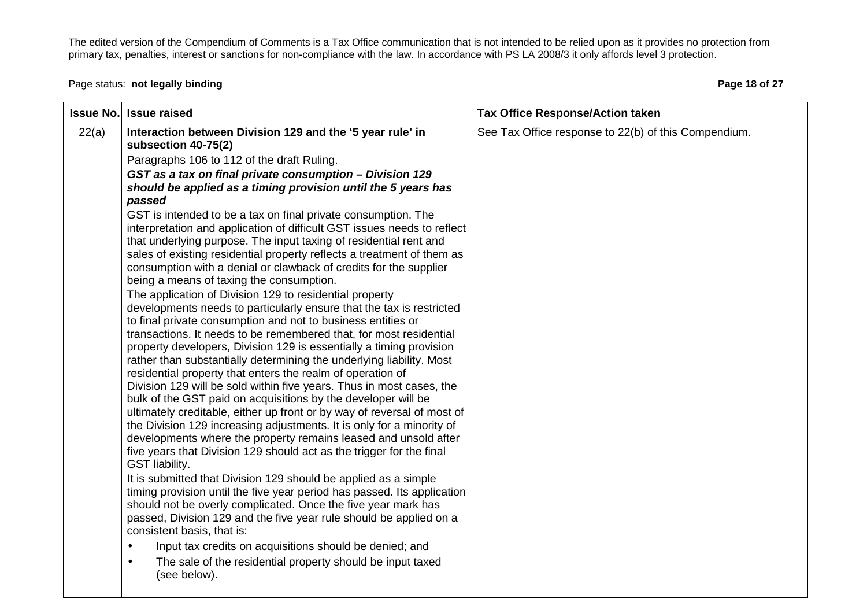The edited version of the Compendium of Comments is a Tax Office communication that is not intended to be relied upon as it provides no protection from<br>primary tax, penalties, interest or sanctions for non-compliance with

Page status: **not legally binding Page 18 of 27 Page 18 of 27** 

|       | <b>Issue No. Issue raised</b>                                                                                                                                                                                                                                                                                                                                                                                                                                                                                                                                                                                                                                                                                                                                                                                                                                                                                                                                                                                                                                                                                                                                                                                                                                                                                                                                                                                                                                                                                                                                                                                                                                                                                                                                                                                                                                                                                                                                                                                                                                                                                           | <b>Tax Office Response/Action taken</b>              |
|-------|-------------------------------------------------------------------------------------------------------------------------------------------------------------------------------------------------------------------------------------------------------------------------------------------------------------------------------------------------------------------------------------------------------------------------------------------------------------------------------------------------------------------------------------------------------------------------------------------------------------------------------------------------------------------------------------------------------------------------------------------------------------------------------------------------------------------------------------------------------------------------------------------------------------------------------------------------------------------------------------------------------------------------------------------------------------------------------------------------------------------------------------------------------------------------------------------------------------------------------------------------------------------------------------------------------------------------------------------------------------------------------------------------------------------------------------------------------------------------------------------------------------------------------------------------------------------------------------------------------------------------------------------------------------------------------------------------------------------------------------------------------------------------------------------------------------------------------------------------------------------------------------------------------------------------------------------------------------------------------------------------------------------------------------------------------------------------------------------------------------------------|------------------------------------------------------|
| 22(a) | Interaction between Division 129 and the '5 year rule' in<br>subsection 40-75(2)<br>Paragraphs 106 to 112 of the draft Ruling.<br>GST as a tax on final private consumption - Division 129<br>should be applied as a timing provision until the 5 years has<br>passed<br>GST is intended to be a tax on final private consumption. The<br>interpretation and application of difficult GST issues needs to reflect<br>that underlying purpose. The input taxing of residential rent and<br>sales of existing residential property reflects a treatment of them as<br>consumption with a denial or clawback of credits for the supplier<br>being a means of taxing the consumption.<br>The application of Division 129 to residential property<br>developments needs to particularly ensure that the tax is restricted<br>to final private consumption and not to business entities or<br>transactions. It needs to be remembered that, for most residential<br>property developers, Division 129 is essentially a timing provision<br>rather than substantially determining the underlying liability. Most<br>residential property that enters the realm of operation of<br>Division 129 will be sold within five years. Thus in most cases, the<br>bulk of the GST paid on acquisitions by the developer will be<br>ultimately creditable, either up front or by way of reversal of most of<br>the Division 129 increasing adjustments. It is only for a minority of<br>developments where the property remains leased and unsold after<br>five years that Division 129 should act as the trigger for the final<br>GST liability.<br>It is submitted that Division 129 should be applied as a simple<br>timing provision until the five year period has passed. Its application<br>should not be overly complicated. Once the five year mark has<br>passed, Division 129 and the five year rule should be applied on a<br>consistent basis, that is:<br>Input tax credits on acquisitions should be denied; and<br>$\bullet$<br>The sale of the residential property should be input taxed<br>$\bullet$<br>(see below). | See Tax Office response to 22(b) of this Compendium. |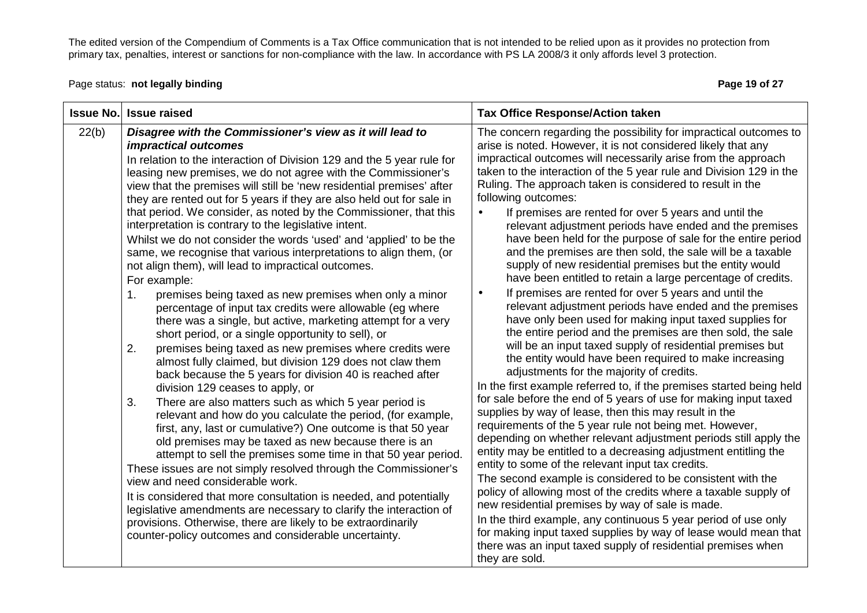Page status: **not legally binding Page 19 of 27 Page 19 of 27** 

| <b>Issue No.</b> | <b>Issue raised</b>                                                                                                                                                                                                                                                                                                                                                                                                                                                                                                                                                                                                                                                                                                                                                                                                                                                                                                                                                                                                                                                                                                                                                                                                                                                                                                                                                                                                                                                                                                                                                                                                                                                                                                                                                                                                                                                                                                         | <b>Tax Office Response/Action taken</b>                                                                                                                                                                                                                                                                                                                                                                                                                                                                                                                                                                                                                                                                                                                                                                                                                                                                                                                                                                                                                                                                                                                                                                                                                                                                                                                                                                                                                                                                                                                                                                                                                                                                                                                                                                                                                                                                                                                                                                                                                       |
|------------------|-----------------------------------------------------------------------------------------------------------------------------------------------------------------------------------------------------------------------------------------------------------------------------------------------------------------------------------------------------------------------------------------------------------------------------------------------------------------------------------------------------------------------------------------------------------------------------------------------------------------------------------------------------------------------------------------------------------------------------------------------------------------------------------------------------------------------------------------------------------------------------------------------------------------------------------------------------------------------------------------------------------------------------------------------------------------------------------------------------------------------------------------------------------------------------------------------------------------------------------------------------------------------------------------------------------------------------------------------------------------------------------------------------------------------------------------------------------------------------------------------------------------------------------------------------------------------------------------------------------------------------------------------------------------------------------------------------------------------------------------------------------------------------------------------------------------------------------------------------------------------------------------------------------------------------|---------------------------------------------------------------------------------------------------------------------------------------------------------------------------------------------------------------------------------------------------------------------------------------------------------------------------------------------------------------------------------------------------------------------------------------------------------------------------------------------------------------------------------------------------------------------------------------------------------------------------------------------------------------------------------------------------------------------------------------------------------------------------------------------------------------------------------------------------------------------------------------------------------------------------------------------------------------------------------------------------------------------------------------------------------------------------------------------------------------------------------------------------------------------------------------------------------------------------------------------------------------------------------------------------------------------------------------------------------------------------------------------------------------------------------------------------------------------------------------------------------------------------------------------------------------------------------------------------------------------------------------------------------------------------------------------------------------------------------------------------------------------------------------------------------------------------------------------------------------------------------------------------------------------------------------------------------------------------------------------------------------------------------------------------------------|
| 22(b)            | Disagree with the Commissioner's view as it will lead to<br><i>impractical outcomes</i><br>In relation to the interaction of Division 129 and the 5 year rule for<br>leasing new premises, we do not agree with the Commissioner's<br>view that the premises will still be 'new residential premises' after<br>they are rented out for 5 years if they are also held out for sale in<br>that period. We consider, as noted by the Commissioner, that this<br>interpretation is contrary to the legislative intent.<br>Whilst we do not consider the words 'used' and 'applied' to be the<br>same, we recognise that various interpretations to align them, (or<br>not align them), will lead to impractical outcomes.<br>For example:<br>premises being taxed as new premises when only a minor<br>1.<br>percentage of input tax credits were allowable (eg where<br>there was a single, but active, marketing attempt for a very<br>short period, or a single opportunity to sell), or<br>premises being taxed as new premises where credits were<br>2.<br>almost fully claimed, but division 129 does not claw them<br>back because the 5 years for division 40 is reached after<br>division 129 ceases to apply, or<br>There are also matters such as which 5 year period is<br>3.<br>relevant and how do you calculate the period, (for example,<br>first, any, last or cumulative?) One outcome is that 50 year<br>old premises may be taxed as new because there is an<br>attempt to sell the premises some time in that 50 year period.<br>These issues are not simply resolved through the Commissioner's<br>view and need considerable work.<br>It is considered that more consultation is needed, and potentially<br>legislative amendments are necessary to clarify the interaction of<br>provisions. Otherwise, there are likely to be extraordinarily<br>counter-policy outcomes and considerable uncertainty. | The concern regarding the possibility for impractical outcomes to<br>arise is noted. However, it is not considered likely that any<br>impractical outcomes will necessarily arise from the approach<br>taken to the interaction of the 5 year rule and Division 129 in the<br>Ruling. The approach taken is considered to result in the<br>following outcomes:<br>If premises are rented for over 5 years and until the<br>$\bullet$<br>relevant adjustment periods have ended and the premises<br>have been held for the purpose of sale for the entire period<br>and the premises are then sold, the sale will be a taxable<br>supply of new residential premises but the entity would<br>have been entitled to retain a large percentage of credits.<br>If premises are rented for over 5 years and until the<br>$\bullet$<br>relevant adjustment periods have ended and the premises<br>have only been used for making input taxed supplies for<br>the entire period and the premises are then sold, the sale<br>will be an input taxed supply of residential premises but<br>the entity would have been required to make increasing<br>adjustments for the majority of credits.<br>In the first example referred to, if the premises started being held<br>for sale before the end of 5 years of use for making input taxed<br>supplies by way of lease, then this may result in the<br>requirements of the 5 year rule not being met. However,<br>depending on whether relevant adjustment periods still apply the<br>entity may be entitled to a decreasing adjustment entitling the<br>entity to some of the relevant input tax credits.<br>The second example is considered to be consistent with the<br>policy of allowing most of the credits where a taxable supply of<br>new residential premises by way of sale is made.<br>In the third example, any continuous 5 year period of use only<br>for making input taxed supplies by way of lease would mean that<br>there was an input taxed supply of residential premises when<br>they are sold. |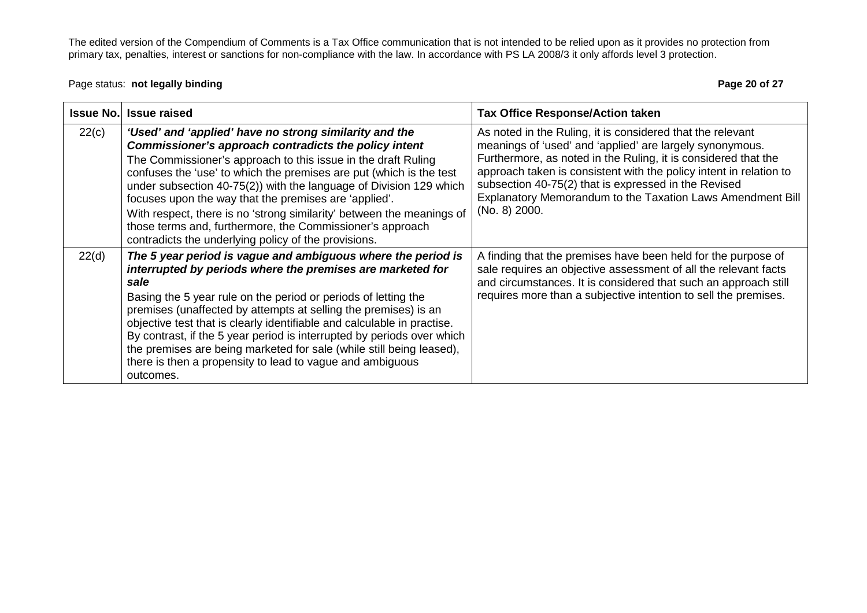#### Page status: **not legally binding Page 20 of 27 Page 20 of 27**

| <b>Issue No.</b> | <b>Issue raised</b>                                                                                                                                                                                                                                                                                                                                                                                                                                                                                                                                                                  | <b>Tax Office Response/Action taken</b>                                                                                                                                                                                                                                                                                                                                                               |
|------------------|--------------------------------------------------------------------------------------------------------------------------------------------------------------------------------------------------------------------------------------------------------------------------------------------------------------------------------------------------------------------------------------------------------------------------------------------------------------------------------------------------------------------------------------------------------------------------------------|-------------------------------------------------------------------------------------------------------------------------------------------------------------------------------------------------------------------------------------------------------------------------------------------------------------------------------------------------------------------------------------------------------|
| 22(c)            | 'Used' and 'applied' have no strong similarity and the<br>Commissioner's approach contradicts the policy intent<br>The Commissioner's approach to this issue in the draft Ruling<br>confuses the 'use' to which the premises are put (which is the test<br>under subsection 40-75(2)) with the language of Division 129 which<br>focuses upon the way that the premises are 'applied'.<br>With respect, there is no 'strong similarity' between the meanings of<br>those terms and, furthermore, the Commissioner's approach<br>contradicts the underlying policy of the provisions. | As noted in the Ruling, it is considered that the relevant<br>meanings of 'used' and 'applied' are largely synonymous.<br>Furthermore, as noted in the Ruling, it is considered that the<br>approach taken is consistent with the policy intent in relation to<br>subsection 40-75(2) that is expressed in the Revised<br>Explanatory Memorandum to the Taxation Laws Amendment Bill<br>(No. 8) 2000. |
| 22(d)            | The 5 year period is vague and ambiguous where the period is<br>interrupted by periods where the premises are marketed for<br>sale<br>Basing the 5 year rule on the period or periods of letting the<br>premises (unaffected by attempts at selling the premises) is an<br>objective test that is clearly identifiable and calculable in practise.<br>By contrast, if the 5 year period is interrupted by periods over which<br>the premises are being marketed for sale (while still being leased),<br>there is then a propensity to lead to vague and ambiguous<br>outcomes.       | A finding that the premises have been held for the purpose of<br>sale requires an objective assessment of all the relevant facts<br>and circumstances. It is considered that such an approach still<br>requires more than a subjective intention to sell the premises.                                                                                                                                |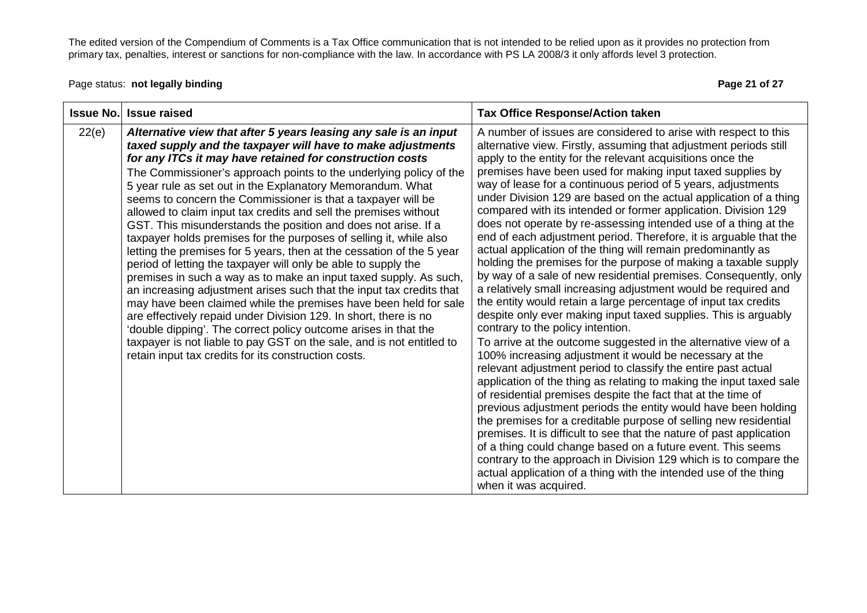Page status: **not legally binding Page 21 of 27 Page 21 of 27** 

| <b>Issue No.</b> | <b>Issue raised</b>                                                                                                                                                                                                                                                                                                                                                                                                                                                                                                                                                                                                                                                                                                                                                                                                                                                                                                                                                                                                                                                                                                                                                                                                                             | <b>Tax Office Response/Action taken</b>                                                                                                                                                                                                                                                                                                                                                                                                                                                                                                                                                                                                                                                                                                                                                                                                                                                                                                                                                                                                                                                                                                                                                                                                                                                                                                                                                                                                                                                                                                                                                                                                                                                                                                                                                                                                                 |
|------------------|-------------------------------------------------------------------------------------------------------------------------------------------------------------------------------------------------------------------------------------------------------------------------------------------------------------------------------------------------------------------------------------------------------------------------------------------------------------------------------------------------------------------------------------------------------------------------------------------------------------------------------------------------------------------------------------------------------------------------------------------------------------------------------------------------------------------------------------------------------------------------------------------------------------------------------------------------------------------------------------------------------------------------------------------------------------------------------------------------------------------------------------------------------------------------------------------------------------------------------------------------|---------------------------------------------------------------------------------------------------------------------------------------------------------------------------------------------------------------------------------------------------------------------------------------------------------------------------------------------------------------------------------------------------------------------------------------------------------------------------------------------------------------------------------------------------------------------------------------------------------------------------------------------------------------------------------------------------------------------------------------------------------------------------------------------------------------------------------------------------------------------------------------------------------------------------------------------------------------------------------------------------------------------------------------------------------------------------------------------------------------------------------------------------------------------------------------------------------------------------------------------------------------------------------------------------------------------------------------------------------------------------------------------------------------------------------------------------------------------------------------------------------------------------------------------------------------------------------------------------------------------------------------------------------------------------------------------------------------------------------------------------------------------------------------------------------------------------------------------------------|
| 22(e)            | Alternative view that after 5 years leasing any sale is an input<br>taxed supply and the taxpayer will have to make adjustments<br>for any ITCs it may have retained for construction costs<br>The Commissioner's approach points to the underlying policy of the<br>5 year rule as set out in the Explanatory Memorandum. What<br>seems to concern the Commissioner is that a taxpayer will be<br>allowed to claim input tax credits and sell the premises without<br>GST. This misunderstands the position and does not arise. If a<br>taxpayer holds premises for the purposes of selling it, while also<br>letting the premises for 5 years, then at the cessation of the 5 year<br>period of letting the taxpayer will only be able to supply the<br>premises in such a way as to make an input taxed supply. As such,<br>an increasing adjustment arises such that the input tax credits that<br>may have been claimed while the premises have been held for sale<br>are effectively repaid under Division 129. In short, there is no<br>'double dipping'. The correct policy outcome arises in that the<br>taxpayer is not liable to pay GST on the sale, and is not entitled to<br>retain input tax credits for its construction costs. | A number of issues are considered to arise with respect to this<br>alternative view. Firstly, assuming that adjustment periods still<br>apply to the entity for the relevant acquisitions once the<br>premises have been used for making input taxed supplies by<br>way of lease for a continuous period of 5 years, adjustments<br>under Division 129 are based on the actual application of a thing<br>compared with its intended or former application. Division 129<br>does not operate by re-assessing intended use of a thing at the<br>end of each adjustment period. Therefore, it is arguable that the<br>actual application of the thing will remain predominantly as<br>holding the premises for the purpose of making a taxable supply<br>by way of a sale of new residential premises. Consequently, only<br>a relatively small increasing adjustment would be required and<br>the entity would retain a large percentage of input tax credits<br>despite only ever making input taxed supplies. This is arguably<br>contrary to the policy intention.<br>To arrive at the outcome suggested in the alternative view of a<br>100% increasing adjustment it would be necessary at the<br>relevant adjustment period to classify the entire past actual<br>application of the thing as relating to making the input taxed sale<br>of residential premises despite the fact that at the time of<br>previous adjustment periods the entity would have been holding<br>the premises for a creditable purpose of selling new residential<br>premises. It is difficult to see that the nature of past application<br>of a thing could change based on a future event. This seems<br>contrary to the approach in Division 129 which is to compare the<br>actual application of a thing with the intended use of the thing<br>when it was acquired. |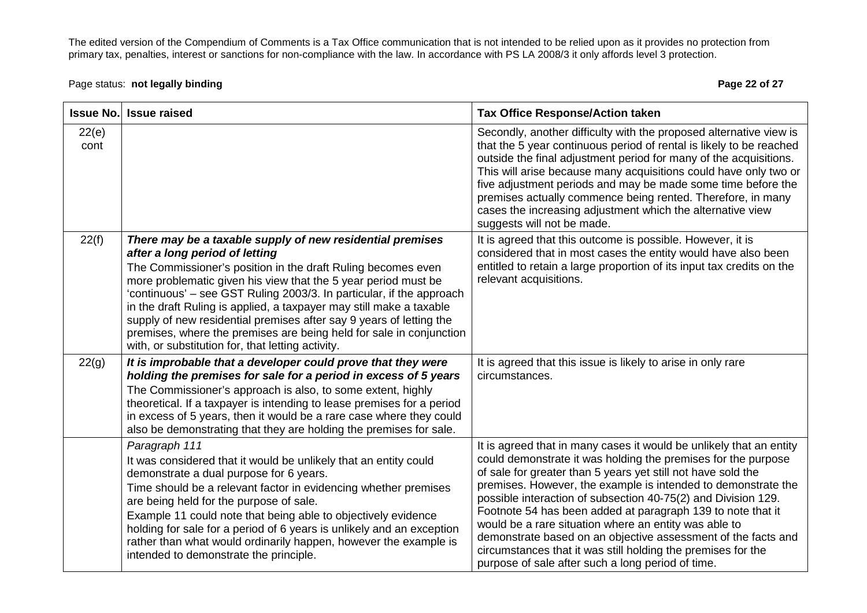# Page status: **not legally binding Page 22 of 27 Page 22 of 27**

| <b>Issue No.</b> | <b>Issue raised</b>                                                                                                                                                                                                                                                                                                                                                                                                                                                                                                                                                             | <b>Tax Office Response/Action taken</b>                                                                                                                                                                                                                                                                                                                                                                                                                                                                                                                                                                                                              |
|------------------|---------------------------------------------------------------------------------------------------------------------------------------------------------------------------------------------------------------------------------------------------------------------------------------------------------------------------------------------------------------------------------------------------------------------------------------------------------------------------------------------------------------------------------------------------------------------------------|------------------------------------------------------------------------------------------------------------------------------------------------------------------------------------------------------------------------------------------------------------------------------------------------------------------------------------------------------------------------------------------------------------------------------------------------------------------------------------------------------------------------------------------------------------------------------------------------------------------------------------------------------|
| 22(e)<br>cont    |                                                                                                                                                                                                                                                                                                                                                                                                                                                                                                                                                                                 | Secondly, another difficulty with the proposed alternative view is<br>that the 5 year continuous period of rental is likely to be reached<br>outside the final adjustment period for many of the acquisitions.<br>This will arise because many acquisitions could have only two or<br>five adjustment periods and may be made some time before the<br>premises actually commence being rented. Therefore, in many<br>cases the increasing adjustment which the alternative view<br>suggests will not be made.                                                                                                                                        |
| 22(f)            | There may be a taxable supply of new residential premises<br>after a long period of letting<br>The Commissioner's position in the draft Ruling becomes even<br>more problematic given his view that the 5 year period must be<br>'continuous' – see GST Ruling 2003/3. In particular, if the approach<br>in the draft Ruling is applied, a taxpayer may still make a taxable<br>supply of new residential premises after say 9 years of letting the<br>premises, where the premises are being held for sale in conjunction<br>with, or substitution for, that letting activity. | It is agreed that this outcome is possible. However, it is<br>considered that in most cases the entity would have also been<br>entitled to retain a large proportion of its input tax credits on the<br>relevant acquisitions.                                                                                                                                                                                                                                                                                                                                                                                                                       |
| 22(g)            | It is improbable that a developer could prove that they were<br>holding the premises for sale for a period in excess of 5 years<br>The Commissioner's approach is also, to some extent, highly<br>theoretical. If a taxpayer is intending to lease premises for a period<br>in excess of 5 years, then it would be a rare case where they could<br>also be demonstrating that they are holding the premises for sale.                                                                                                                                                           | It is agreed that this issue is likely to arise in only rare<br>circumstances.                                                                                                                                                                                                                                                                                                                                                                                                                                                                                                                                                                       |
|                  | Paragraph 111<br>It was considered that it would be unlikely that an entity could<br>demonstrate a dual purpose for 6 years.<br>Time should be a relevant factor in evidencing whether premises<br>are being held for the purpose of sale.<br>Example 11 could note that being able to objectively evidence<br>holding for sale for a period of 6 years is unlikely and an exception<br>rather than what would ordinarily happen, however the example is<br>intended to demonstrate the principle.                                                                              | It is agreed that in many cases it would be unlikely that an entity<br>could demonstrate it was holding the premises for the purpose<br>of sale for greater than 5 years yet still not have sold the<br>premises. However, the example is intended to demonstrate the<br>possible interaction of subsection 40-75(2) and Division 129.<br>Footnote 54 has been added at paragraph 139 to note that it<br>would be a rare situation where an entity was able to<br>demonstrate based on an objective assessment of the facts and<br>circumstances that it was still holding the premises for the<br>purpose of sale after such a long period of time. |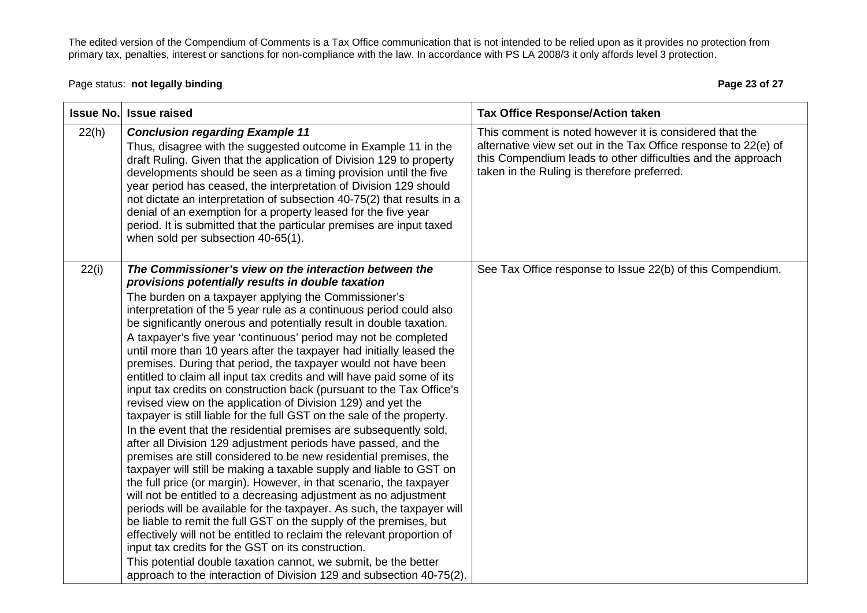## Page status: **not legally binding Page 23 of 27 Page 23 of 27**

|       | <b>Issue No. Issue raised</b>                                                                                                                                                                                                                                                                                                                                                                                                                                                                                                                                                                                                                                                                                                                                                                                                                                                                                                                                                                                                                                                                                                                                                                                                                                                                                                                                                                                                                                                                                                                                                                                                                                                       | <b>Tax Office Response/Action taken</b>                                                                                                                                                                                                   |
|-------|-------------------------------------------------------------------------------------------------------------------------------------------------------------------------------------------------------------------------------------------------------------------------------------------------------------------------------------------------------------------------------------------------------------------------------------------------------------------------------------------------------------------------------------------------------------------------------------------------------------------------------------------------------------------------------------------------------------------------------------------------------------------------------------------------------------------------------------------------------------------------------------------------------------------------------------------------------------------------------------------------------------------------------------------------------------------------------------------------------------------------------------------------------------------------------------------------------------------------------------------------------------------------------------------------------------------------------------------------------------------------------------------------------------------------------------------------------------------------------------------------------------------------------------------------------------------------------------------------------------------------------------------------------------------------------------|-------------------------------------------------------------------------------------------------------------------------------------------------------------------------------------------------------------------------------------------|
| 22(h) | <b>Conclusion regarding Example 11</b><br>Thus, disagree with the suggested outcome in Example 11 in the<br>draft Ruling. Given that the application of Division 129 to property<br>developments should be seen as a timing provision until the five<br>year period has ceased, the interpretation of Division 129 should<br>not dictate an interpretation of subsection 40-75(2) that results in a<br>denial of an exemption for a property leased for the five year<br>period. It is submitted that the particular premises are input taxed<br>when sold per subsection 40-65(1).                                                                                                                                                                                                                                                                                                                                                                                                                                                                                                                                                                                                                                                                                                                                                                                                                                                                                                                                                                                                                                                                                                 | This comment is noted however it is considered that the<br>alternative view set out in the Tax Office response to 22(e) of<br>this Compendium leads to other difficulties and the approach<br>taken in the Ruling is therefore preferred. |
| 22(i) | The Commissioner's view on the interaction between the<br>provisions potentially results in double taxation<br>The burden on a taxpayer applying the Commissioner's<br>interpretation of the 5 year rule as a continuous period could also<br>be significantly onerous and potentially result in double taxation.<br>A taxpayer's five year 'continuous' period may not be completed<br>until more than 10 years after the taxpayer had initially leased the<br>premises. During that period, the taxpayer would not have been<br>entitled to claim all input tax credits and will have paid some of its<br>input tax credits on construction back (pursuant to the Tax Office's<br>revised view on the application of Division 129) and yet the<br>taxpayer is still liable for the full GST on the sale of the property.<br>In the event that the residential premises are subsequently sold,<br>after all Division 129 adjustment periods have passed, and the<br>premises are still considered to be new residential premises, the<br>taxpayer will still be making a taxable supply and liable to GST on<br>the full price (or margin). However, in that scenario, the taxpayer<br>will not be entitled to a decreasing adjustment as no adjustment<br>periods will be available for the taxpayer. As such, the taxpayer will<br>be liable to remit the full GST on the supply of the premises, but<br>effectively will not be entitled to reclaim the relevant proportion of<br>input tax credits for the GST on its construction.<br>This potential double taxation cannot, we submit, be the better<br>approach to the interaction of Division 129 and subsection 40-75(2). | See Tax Office response to Issue 22(b) of this Compendium.                                                                                                                                                                                |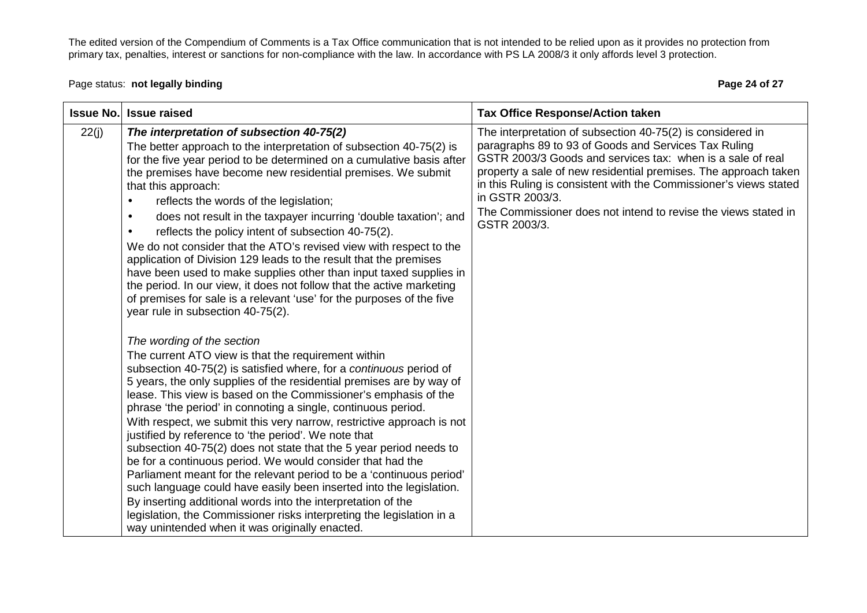Page status: **not legally binding Page 24 of 27 Page 24 of 27** 

|       | <b>Issue No. Issue raised</b>                                                                                                                                                                                                                                                                                                                                                                                                                                                                                                                                                                                                                                                                                                                                                                                                                                                                                                                                                                                                                                                                                                                                                                                                                                                                                                                                                                                                                                                                                                                                                                                                                                                                                                                                                                                                                                                | <b>Tax Office Response/Action taken</b>                                                                                                                                                                                                                                                                                                                                                                                       |
|-------|------------------------------------------------------------------------------------------------------------------------------------------------------------------------------------------------------------------------------------------------------------------------------------------------------------------------------------------------------------------------------------------------------------------------------------------------------------------------------------------------------------------------------------------------------------------------------------------------------------------------------------------------------------------------------------------------------------------------------------------------------------------------------------------------------------------------------------------------------------------------------------------------------------------------------------------------------------------------------------------------------------------------------------------------------------------------------------------------------------------------------------------------------------------------------------------------------------------------------------------------------------------------------------------------------------------------------------------------------------------------------------------------------------------------------------------------------------------------------------------------------------------------------------------------------------------------------------------------------------------------------------------------------------------------------------------------------------------------------------------------------------------------------------------------------------------------------------------------------------------------------|-------------------------------------------------------------------------------------------------------------------------------------------------------------------------------------------------------------------------------------------------------------------------------------------------------------------------------------------------------------------------------------------------------------------------------|
| 22(j) | The interpretation of subsection 40-75(2)<br>The better approach to the interpretation of subsection 40-75(2) is<br>for the five year period to be determined on a cumulative basis after<br>the premises have become new residential premises. We submit<br>that this approach:<br>reflects the words of the legislation;<br>$\bullet$<br>does not result in the taxpayer incurring 'double taxation'; and<br>$\bullet$<br>reflects the policy intent of subsection 40-75(2).<br>We do not consider that the ATO's revised view with respect to the<br>application of Division 129 leads to the result that the premises<br>have been used to make supplies other than input taxed supplies in<br>the period. In our view, it does not follow that the active marketing<br>of premises for sale is a relevant 'use' for the purposes of the five<br>year rule in subsection 40-75(2).<br>The wording of the section<br>The current ATO view is that the requirement within<br>subsection 40-75(2) is satisfied where, for a continuous period of<br>5 years, the only supplies of the residential premises are by way of<br>lease. This view is based on the Commissioner's emphasis of the<br>phrase 'the period' in connoting a single, continuous period.<br>With respect, we submit this very narrow, restrictive approach is not<br>justified by reference to 'the period'. We note that<br>subsection 40-75(2) does not state that the 5 year period needs to<br>be for a continuous period. We would consider that had the<br>Parliament meant for the relevant period to be a 'continuous period'<br>such language could have easily been inserted into the legislation.<br>By inserting additional words into the interpretation of the<br>legislation, the Commissioner risks interpreting the legislation in a<br>way unintended when it was originally enacted. | The interpretation of subsection 40-75(2) is considered in<br>paragraphs 89 to 93 of Goods and Services Tax Ruling<br>GSTR 2003/3 Goods and services tax: when is a sale of real<br>property a sale of new residential premises. The approach taken<br>in this Ruling is consistent with the Commissioner's views stated<br>in GSTR 2003/3.<br>The Commissioner does not intend to revise the views stated in<br>GSTR 2003/3. |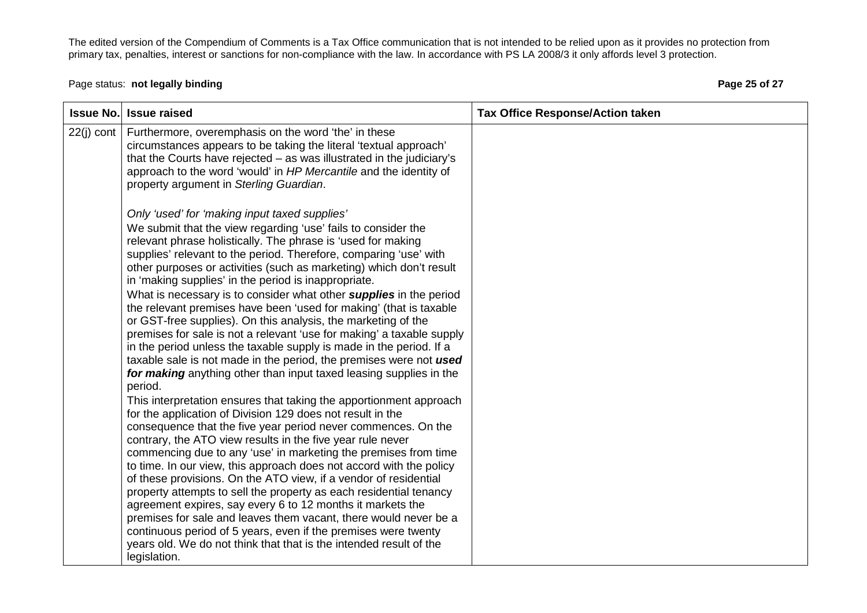# Page status: **not legally binding Page 25 of 27 Page 25 of 27**

| <b>Issue No.</b> | <b>Issue raised</b>                                                                                                                                                                                                                                                                                                                                                                                                                                                                                                                                                                                                                                                                                                                                                                                                                                                                                                                                                                                                                                                                                                                                                                                                                                                                                                                                                                                                                                                                                                                                                                                                                                                      | <b>Tax Office Response/Action taken</b> |
|------------------|--------------------------------------------------------------------------------------------------------------------------------------------------------------------------------------------------------------------------------------------------------------------------------------------------------------------------------------------------------------------------------------------------------------------------------------------------------------------------------------------------------------------------------------------------------------------------------------------------------------------------------------------------------------------------------------------------------------------------------------------------------------------------------------------------------------------------------------------------------------------------------------------------------------------------------------------------------------------------------------------------------------------------------------------------------------------------------------------------------------------------------------------------------------------------------------------------------------------------------------------------------------------------------------------------------------------------------------------------------------------------------------------------------------------------------------------------------------------------------------------------------------------------------------------------------------------------------------------------------------------------------------------------------------------------|-----------------------------------------|
| $22(i)$ cont     | Furthermore, overemphasis on the word 'the' in these<br>circumstances appears to be taking the literal 'textual approach'<br>that the Courts have rejected $-$ as was illustrated in the judiciary's<br>approach to the word 'would' in HP Mercantile and the identity of<br>property argument in Sterling Guardian.                                                                                                                                                                                                                                                                                                                                                                                                                                                                                                                                                                                                                                                                                                                                                                                                                                                                                                                                                                                                                                                                                                                                                                                                                                                                                                                                                     |                                         |
|                  | Only 'used' for 'making input taxed supplies'<br>We submit that the view regarding 'use' fails to consider the<br>relevant phrase holistically. The phrase is 'used for making<br>supplies' relevant to the period. Therefore, comparing 'use' with<br>other purposes or activities (such as marketing) which don't result<br>in 'making supplies' in the period is inappropriate.<br>What is necessary is to consider what other <i>supplies</i> in the period<br>the relevant premises have been 'used for making' (that is taxable<br>or GST-free supplies). On this analysis, the marketing of the<br>premises for sale is not a relevant 'use for making' a taxable supply<br>in the period unless the taxable supply is made in the period. If a<br>taxable sale is not made in the period, the premises were not used<br>for making anything other than input taxed leasing supplies in the<br>period.<br>This interpretation ensures that taking the apportionment approach<br>for the application of Division 129 does not result in the<br>consequence that the five year period never commences. On the<br>contrary, the ATO view results in the five year rule never<br>commencing due to any 'use' in marketing the premises from time<br>to time. In our view, this approach does not accord with the policy<br>of these provisions. On the ATO view, if a vendor of residential<br>property attempts to sell the property as each residential tenancy<br>agreement expires, say every 6 to 12 months it markets the<br>premises for sale and leaves them vacant, there would never be a<br>continuous period of 5 years, even if the premises were twenty |                                         |
|                  | years old. We do not think that that is the intended result of the<br>legislation.                                                                                                                                                                                                                                                                                                                                                                                                                                                                                                                                                                                                                                                                                                                                                                                                                                                                                                                                                                                                                                                                                                                                                                                                                                                                                                                                                                                                                                                                                                                                                                                       |                                         |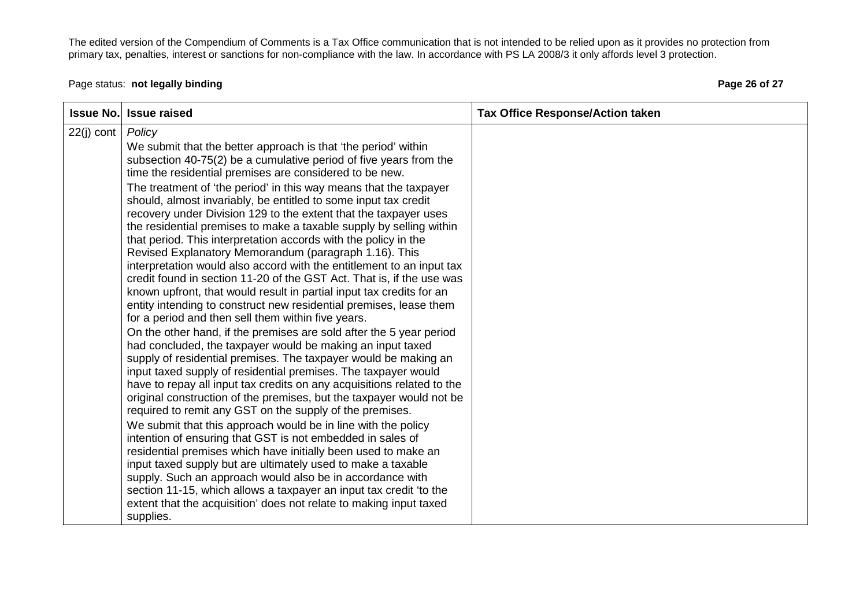# Page status: **not legally binding Page 26 of 27 Page 26 of 27**

| <b>Issue No.</b> | <b>Issue raised</b>                                                                                                                                                                                                                                                                                                                                                                                                                                                                                                                                                                                                                                                                                                                                                                                                                                                                                                                                                                                                                                                                                                                                                                                                                                                                                                                                                                                                                                                                                                                                                                                                                                                                                                                                                                                                                                                                                                                             | <b>Tax Office Response/Action taken</b> |
|------------------|-------------------------------------------------------------------------------------------------------------------------------------------------------------------------------------------------------------------------------------------------------------------------------------------------------------------------------------------------------------------------------------------------------------------------------------------------------------------------------------------------------------------------------------------------------------------------------------------------------------------------------------------------------------------------------------------------------------------------------------------------------------------------------------------------------------------------------------------------------------------------------------------------------------------------------------------------------------------------------------------------------------------------------------------------------------------------------------------------------------------------------------------------------------------------------------------------------------------------------------------------------------------------------------------------------------------------------------------------------------------------------------------------------------------------------------------------------------------------------------------------------------------------------------------------------------------------------------------------------------------------------------------------------------------------------------------------------------------------------------------------------------------------------------------------------------------------------------------------------------------------------------------------------------------------------------------------|-----------------------------------------|
| $22(j)$ cont     | Policy<br>We submit that the better approach is that 'the period' within<br>subsection 40-75(2) be a cumulative period of five years from the<br>time the residential premises are considered to be new.<br>The treatment of 'the period' in this way means that the taxpayer<br>should, almost invariably, be entitled to some input tax credit<br>recovery under Division 129 to the extent that the taxpayer uses<br>the residential premises to make a taxable supply by selling within<br>that period. This interpretation accords with the policy in the<br>Revised Explanatory Memorandum (paragraph 1.16). This<br>interpretation would also accord with the entitlement to an input tax<br>credit found in section 11-20 of the GST Act. That is, if the use was<br>known upfront, that would result in partial input tax credits for an<br>entity intending to construct new residential premises, lease them<br>for a period and then sell them within five years.<br>On the other hand, if the premises are sold after the 5 year period<br>had concluded, the taxpayer would be making an input taxed<br>supply of residential premises. The taxpayer would be making an<br>input taxed supply of residential premises. The taxpayer would<br>have to repay all input tax credits on any acquisitions related to the<br>original construction of the premises, but the taxpayer would not be<br>required to remit any GST on the supply of the premises.<br>We submit that this approach would be in line with the policy<br>intention of ensuring that GST is not embedded in sales of<br>residential premises which have initially been used to make an<br>input taxed supply but are ultimately used to make a taxable<br>supply. Such an approach would also be in accordance with<br>section 11-15, which allows a taxpayer an input tax credit 'to the<br>extent that the acquisition' does not relate to making input taxed |                                         |
|                  | supplies.                                                                                                                                                                                                                                                                                                                                                                                                                                                                                                                                                                                                                                                                                                                                                                                                                                                                                                                                                                                                                                                                                                                                                                                                                                                                                                                                                                                                                                                                                                                                                                                                                                                                                                                                                                                                                                                                                                                                       |                                         |